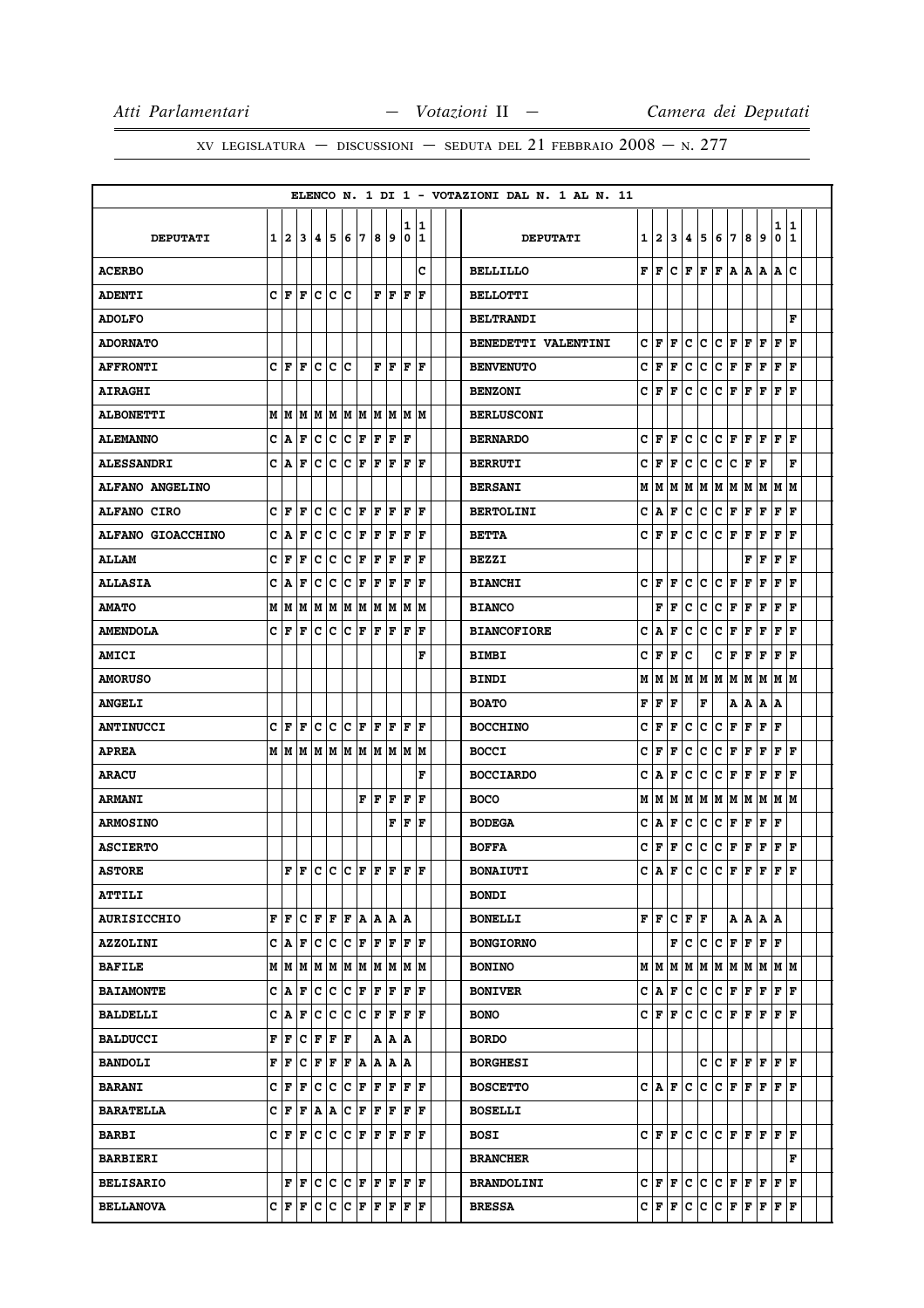|                    |      |                             |                                                                                                                             |     |                                                                |                      |             |                      |              |              |                      |  | ELENCO N. 1 DI 1 - VOTAZIONI DAL N. 1 AL N. 11 |   |      |                      |             |     |             |         |     |       |        |        |  |
|--------------------|------|-----------------------------|-----------------------------------------------------------------------------------------------------------------------------|-----|----------------------------------------------------------------|----------------------|-------------|----------------------|--------------|--------------|----------------------|--|------------------------------------------------|---|------|----------------------|-------------|-----|-------------|---------|-----|-------|--------|--------|--|
| <b>DEPUTATI</b>    |      | 1 2                         | 3                                                                                                                           | 14. | 5                                                              | 6                    | 7           | 8                    | 9            | 1<br>0       | 1<br>1               |  | <b>DEPUTATI</b>                                | 1 | 2    | 3                    | 4           | 5   | 6           | 17      | 8   | 9     | 1<br>0 | 1<br>1 |  |
| <b>ACERBO</b>      |      |                             |                                                                                                                             |     |                                                                |                      |             |                      |              |              | c                    |  | <b>BELLILLO</b>                                | F | l F  | lc.                  | l F         | F   | l F         | ١A      | A   | A     | A      | c      |  |
| <b>ADENTI</b>      |      | CF                          | l F                                                                                                                         | c   | c                                                              | c                    |             | F                    | F            | F            | F                    |  | <b>BELLOTTI</b>                                |   |      |                      |             |     |             |         |     |       |        |        |  |
| <b>ADOLFO</b>      |      |                             |                                                                                                                             |     |                                                                |                      |             |                      |              |              |                      |  | <b>BELTRANDI</b>                               |   |      |                      |             |     |             |         |     |       |        | F      |  |
| <b>ADORNATO</b>    |      |                             |                                                                                                                             |     |                                                                |                      |             |                      |              |              |                      |  | BENEDETTI VALENTINI                            | c | F    | F                    | c           | c   | c           | F       | F   | l F   | F      | F      |  |
| <b>AFFRONTI</b>    |      | CF                          | ١F                                                                                                                          |     | c c c                                                          |                      |             | $_{\rm F F}$         |              | lF.          | l F                  |  | <b>BENVENUTO</b>                               | c | F    | F                    | c           | c   | c           | F       | F   | F     | F      | l F    |  |
| <b>AIRAGHI</b>     |      |                             |                                                                                                                             |     |                                                                |                      |             |                      |              |              |                      |  | <b>BENZONI</b>                                 | c | l F  | F                    | c           | lc. | c           | F       | F   | F     | F      | l F    |  |
| <b>ALBONETTI</b>   |      |                             |                                                                                                                             |     |                                                                |                      |             |                      |              |              |                      |  | <b>BERLUSCONI</b>                              |   |      |                      |             |     |             |         |     |       |        |        |  |
| <b>ALEMANNO</b>    |      | C A                         | F                                                                                                                           |     | c c                                                            | $ {\bf C}  {\bf F} $ |             | F                    | F            | F            |                      |  | <b>BERNARDO</b>                                | c | l F  | F                    | c           | lc. | lc.         | F       | F   | lF.   | lF.    | ΙF     |  |
| <b>ALESSANDRI</b>  |      | C A                         | F                                                                                                                           | c   | с                                                              | Ιc                   | F           | l F                  | F            | l F          | l F                  |  | <b>BERRUTI</b>                                 | c | F    | F                    | c           | c   | c           | c       | F   | l F   |        | F      |  |
| ALFANO ANGELINO    |      |                             |                                                                                                                             |     |                                                                |                      |             |                      |              |              |                      |  | <b>BERSANI</b>                                 | M | M    | M                    | M           | M   | M           | M       | M   | M     | M      | M      |  |
| <b>ALFANO CIRO</b> | c    | ١F                          | F                                                                                                                           | c   | с                                                              | c                    | F           | F                    | F            | F            | F                    |  | <b>BERTOLINI</b>                               | c | A    | F                    | c           | c   | $\mathbf c$ | F       | F   | F     | F      | F      |  |
| ALFANO GIOACCHINO  | c    | A                           | F                                                                                                                           | c   | c                                                              | c                    | F           | F                    | F            | $\mathbf F$  | F                    |  | <b>BETTA</b>                                   | c | F    | F                    | c           | c   | c           | F       | F   | F     | F      | l F    |  |
| <b>ALLAM</b>       | c    | F                           | F                                                                                                                           | c   | c                                                              | c                    | F           | F                    | F            | F            | F                    |  | <b>BEZZI</b>                                   |   |      |                      |             |     |             |         | F   | F     | F      | l F    |  |
| <b>ALLASIA</b>     | c    | A                           | F                                                                                                                           | с   | c                                                              | c                    | F           | F                    | F            | F            | F                    |  | <b>BIANCHI</b>                                 | c | l F  | F                    | c           | lc. | c           | F       | l F | F     | F      | F      |  |
| <b>AMATO</b>       |      |                             | $M$   $M$   $M$   $M$   $M$   $M$   $M$   $M$   $M$   $M$                                                                   |     |                                                                |                      |             |                      |              |              |                      |  | <b>BIANCO</b>                                  |   | F    | F                    | c           | c   | c           | F       | F   | F     | F      | l F    |  |
| <b>AMENDOLA</b>    |      | CF                          | F                                                                                                                           | c   | c                                                              | lc.                  | F           | F                    | F            | F            | F                    |  | <b>BIANCOFIORE</b>                             | c | A    | F                    | c           | c   | c           | F       | F   | F     | F      | F      |  |
| <b>AMICI</b>       |      |                             |                                                                                                                             |     |                                                                |                      |             |                      |              |              | F                    |  | <b>BIMBI</b>                                   | c | F    | F                    | c           |     | c           | F       | F   | F     | F      | l F    |  |
| <b>AMORUSO</b>     |      |                             |                                                                                                                             |     |                                                                |                      |             |                      |              |              |                      |  | <b>BINDI</b>                                   | M | M    | M                    | lм          | M   | M           | lМ      | M   | M     | M      | lМ     |  |
| <b>ANGELI</b>      |      |                             |                                                                                                                             |     |                                                                |                      |             |                      |              |              |                      |  | <b>BOATO</b>                                   | F | F    | l F                  |             | F   |             | А       | ١A  | A     | ١A     |        |  |
| <b>ANTINUCCI</b>   | c    | F                           | F                                                                                                                           | c   | c                                                              | c                    | F           | F                    | F            | F            | F                    |  | <b>BOCCHINO</b>                                | c | F    | F                    | c           | с   | c           | F       | F   | F     | F      |        |  |
| <b>APREA</b>       |      |                             |                                                                                                                             |     |                                                                |                      |             |                      |              |              |                      |  | <b>BOCCI</b>                                   | c | l F  | F                    | c           | c   | c           | F       | l F | F     | F      | l F    |  |
| <b>ARACU</b>       |      |                             |                                                                                                                             |     |                                                                |                      |             |                      |              |              | F                    |  | <b>BOCCIARDO</b>                               | c | ١A   | F                    | $\mathbf c$ | c   | c           | F       | F   | F     | F      | l F    |  |
| <b>ARMANI</b>      |      |                             |                                                                                                                             |     |                                                                |                      | F           | ١F                   | F            | l F          | F                    |  | <b>BOCO</b>                                    | M | M    | M                    | lм          | M   | M           | lм      | M   | M     | M M    |        |  |
| <b>ARMOSINO</b>    |      |                             |                                                                                                                             |     |                                                                |                      |             |                      | F            | F            | F                    |  | <b>BODEGA</b>                                  | с | A    | F                    | c           | c   | c           | F       | F   | F     | F      |        |  |
| <b>ASCIERTO</b>    |      |                             |                                                                                                                             |     |                                                                |                      |             |                      |              |              |                      |  | <b>BOFFA</b>                                   | c | F    | F                    | c           | с   | c           | F       | F   | F     | F      | F      |  |
| <b>ASTORE</b>      |      |                             | $\mathbf{F} \left  \mathbf{F} \right  \mathbf{C} \left  \mathbf{C} \right  \mathbf{F} \left  \mathbf{F} \right  \mathbf{F}$ |     |                                                                |                      |             |                      |              | $ {\bf F}$   | ١F                   |  | <b>BONAIUTI</b>                                | C | ١A   | F                    | c           | c   | c           | F       | F   | F     | F      | F      |  |
| <b>ATTILI</b>      |      |                             |                                                                                                                             |     |                                                                |                      |             |                      |              |              |                      |  | <b>BONDI</b>                                   |   |      |                      |             |     |             |         |     |       |        |        |  |
| <b>AURISICCHIO</b> | F    | F                           | c                                                                                                                           |     | F F                                                            | F A                  |             |                      | A  A  A      |              |                      |  | <b>BONELLI</b>                                 |   | FF   | $ {\bf C}  {\bf F} $ |             | ١F  |             | A   A   |     | A I A |        |        |  |
| <b>AZZOLINI</b>    |      | $C  \mathbf{A}  \mathbf{F}$ |                                                                                                                             |     | C C C F                                                        |                      |             | F F                  |              |              | F  F                 |  | <b>BONGIORNO</b>                               |   |      | F                    | c           | c c |             | F       | F   | F F   |        |        |  |
| <b>BAFILE</b>      |      |                             | $M$   $M$   $M$   $M$   $M$   $M$   $M$   $M$   $M$   $M$                                                                   |     |                                                                |                      |             |                      |              |              |                      |  | <b>BONINO</b>                                  | М | M    | M                    | M           | M   | M           | M       | M   | M     | MM     |        |  |
| <b>BAIAMONTE</b>   |      | $C \mathbf{A} \mathbf{F}$   |                                                                                                                             |     | C C C F F F                                                    |                      |             |                      |              |              | F F                  |  | <b>BONIVER</b>                                 |   | C A  | F                    | c           | c   | c           | F       | F   | F     | F      | lF.    |  |
| <b>BALDELLI</b>    | c    | Α                           | F                                                                                                                           | c   | C                                                              | c.                   | c           | F                    | F            | $\mathbf F$  | F                    |  | <b>BONO</b>                                    | c | F    | F                    | c           | c   | $\mathbf c$ | F       | F   | F     | F      | l F    |  |
| <b>BALDUCCI</b>    |      | $\mathbf{F}   \mathbf{F}$   | c                                                                                                                           | F   | F F                                                            |                      |             |                      | A A A        |              |                      |  | <b>BORDO</b>                                   |   |      |                      |             |     |             |         |     |       |        |        |  |
| <b>BANDOLI</b>     | F    | F                           | c                                                                                                                           |     | F F                                                            | F A                  |             |                      | A  A  A      |              |                      |  | <b>BORGHESI</b>                                |   |      |                      |             |     |             | C C F F |     | F F F |        |        |  |
| <b>BARANI</b>      | ic i | F                           | F                                                                                                                           | c   | c                                                              | c.                   | $\mathbf F$ | F                    | F            | $\mathbf{F}$ | F                    |  | <b>BOSCETTO</b>                                |   | C IA | F                    | lc.         | lc. | ١c          | F       | F   | F     | lF.    | l F    |  |
| <b>BARATELLA</b>   |      | C F F                       |                                                                                                                             |     | A   A                                                          | $ {\bf C}  {\bf F} $ |             | $ {\bf F}  {\bf F} $ |              |              | F F                  |  | <b>BOSELLI</b>                                 |   |      |                      |             |     |             |         |     |       |        |        |  |
| <b>BARBI</b>       |      | C   F                       | F                                                                                                                           | с   |                                                                | C C F F              |             |                      | $\mathbf{F}$ |              | IF IF                |  | <b>BOSI</b>                                    |   | CIF  | F                    | c           | lc. | c           | F       | l F | F     | lF.    | l F    |  |
| <b>BARBIERI</b>    |      |                             |                                                                                                                             |     |                                                                |                      |             |                      |              |              |                      |  | <b>BRANCHER</b>                                |   |      |                      |             |     |             |         |     |       |        | F      |  |
| <b>BELISARIO</b>   |      | F                           | F                                                                                                                           |     | $ {\tt C}\, {\tt C}\, {\tt C}\, {\tt F}\, {\tt F}\, {\tt F}\,$ |                      |             |                      |              | ΙF           | lF.                  |  | <b>BRANDOLINI</b>                              | c | F    | F                    | c           | c   | c           | F F     |     | IF.   | ١F     | l F    |  |
| <b>BELLANOVA</b>   |      |                             | C F F C C C F F F                                                                                                           |     |                                                                |                      |             |                      |              |              | $ {\bf F}  {\bf F} $ |  | <b>BRESSA</b>                                  |   | C F  | F                    | c           | c   | c           | F       | F   | F     | F      | F      |  |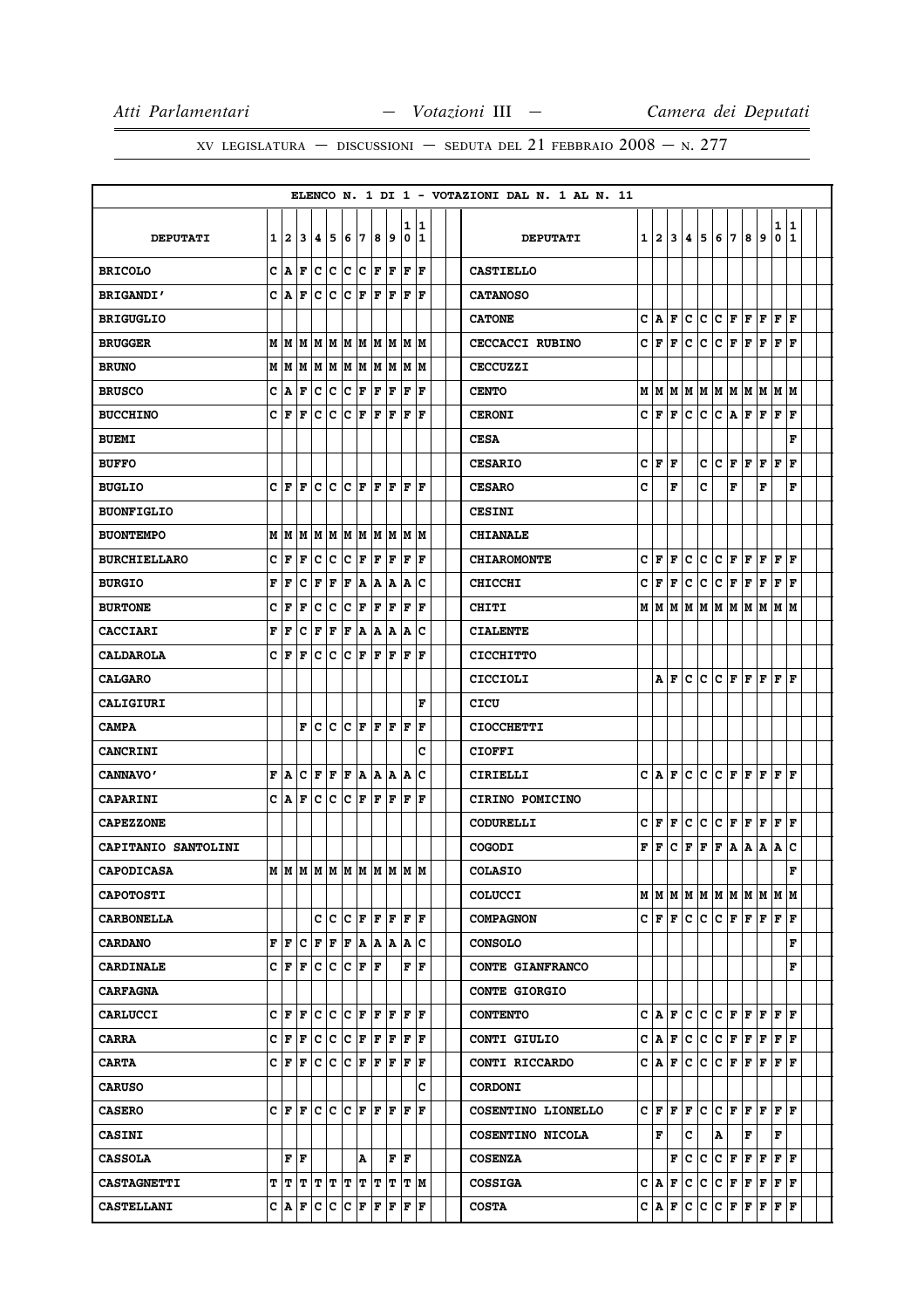|                            |   |                             |                                                                                                          |                       |             |             |                        |     |       |             |       |  | ELENCO N. 1 DI 1 - VOTAZIONI DAL N. 1 AL N. 11 |   |         |    |     |             |             |     |    |     |                                                                         |              |  |
|----------------------------|---|-----------------------------|----------------------------------------------------------------------------------------------------------|-----------------------|-------------|-------------|------------------------|-----|-------|-------------|-------|--|------------------------------------------------|---|---------|----|-----|-------------|-------------|-----|----|-----|-------------------------------------------------------------------------|--------------|--|
|                            |   |                             |                                                                                                          |                       |             |             |                        |     |       | 1           | 11    |  |                                                |   |         |    |     |             |             |     |    |     | 1                                                                       | 1            |  |
| <b>DEPUTATI</b>            |   | 1 2                         | 3                                                                                                        | 4                     | 5           | 6           | 7                      | 8   | 9     | 0           | 11    |  | <b>DEPUTATI</b>                                |   | 1 2     | 3  | 4   | 5           | 6           | 7   | 8  | 9   | 0                                                                       | $\mathbf{1}$ |  |
| <b>BRICOLO</b>             |   | C A                         | F                                                                                                        | c                     | c           | c.          | lc.                    | F   | F     | $\mathbf F$ | F     |  | <b>CASTIELLO</b>                               |   |         |    |     |             |             |     |    |     |                                                                         |              |  |
| <b>BRIGANDI'</b>           |   | C A                         | F                                                                                                        | c                     | c           | c           | F                      | F   | F     | F           | ΙF    |  | <b>CATANOSO</b>                                |   |         |    |     |             |             |     |    |     |                                                                         |              |  |
| <b>BRIGUGLIO</b>           |   |                             |                                                                                                          |                       |             |             |                        |     |       |             |       |  | <b>CATONE</b>                                  | c | ١A      | F  | lc. | c           | c           | F   | F  | l F | l F                                                                     | ΙF           |  |
| <b>BRUGGER</b>             |   | MM                          |                                                                                                          | M   M   M             |             |             | M M                    | lм  | lм    | М           | M     |  | <b>CECCACCI RUBINO</b>                         | c | F       | F  | c   | с           | c           | F   | F  | l F | F                                                                       | l F          |  |
| <b>BRUNO</b>               |   | M   M                       | M                                                                                                        |                       | MM          |             | M M                    |     | MM    | М           | lм    |  | CECCUZZI                                       |   |         |    |     |             |             |     |    |     |                                                                         |              |  |
| <b>BRUSCO</b>              | c | A                           | F                                                                                                        | c                     | $\mathbf C$ | c           | F                      | F   | F     | $\mathbf F$ | F     |  | <b>CENTO</b>                                   | M | M       | lм | lм  | M   M       |             | lм  | lм | lм  | MM                                                                      |              |  |
| <b>BUCCHINO</b>            |   | CF                          | F                                                                                                        | с                     | c           | c           | F                      | F   | F     | F           | F     |  | <b>CERONI</b>                                  |   | C∣F     | F  | lc. | c           | ١c          | A   | F  | l F | F                                                                       | ΙF           |  |
| <b>BUEMI</b>               |   |                             |                                                                                                          |                       |             |             |                        |     |       |             |       |  | <b>CESA</b>                                    |   |         |    |     |             |             |     |    |     |                                                                         | F            |  |
| <b>BUFFO</b>               |   |                             |                                                                                                          |                       |             |             |                        |     |       |             |       |  | <b>CESARIO</b>                                 | c | l F     | F  |     | c           | lc          | F   | F  | l F | F                                                                       | F            |  |
| <b>BUGLIO</b>              |   | CF                          | ΙF                                                                                                       |                       | c c         |             | $ {\bf C}  {\bf F} $   | lF. | ١F    | F           | ١F    |  | <b>CESARO</b>                                  | c |         | F  |     | c           |             | F   |    | F   |                                                                         | F            |  |
| <b>BUONFIGLIO</b>          |   |                             |                                                                                                          |                       |             |             |                        |     |       |             |       |  | <b>CESINI</b>                                  |   |         |    |     |             |             |     |    |     |                                                                         |              |  |
| <b>BUONTEMPO</b>           |   |                             | M   M   M                                                                                                |                       | MM          |             | M   M                  |     | M M   | м           | lм    |  | <b>CHIANALE</b>                                |   |         |    |     |             |             |     |    |     |                                                                         |              |  |
| <b>BURCHIELLARO</b>        | C | F                           | F                                                                                                        | c                     | C           | C           | F                      | F   | F     | $\mathbf F$ | F     |  | <b>CHIAROMONTE</b>                             | C | F       | F  | C   | C           | lc          | F   | F  | F   | F                                                                       | l F          |  |
| <b>BURGIO</b>              | F | F                           | c                                                                                                        | F                     | F           | F           | A                      | A   | A     | A           | c     |  | <b>CHICCHI</b>                                 | c | F       | F  | c   | c           | c           | F   | F  | l F | F                                                                       | ΙF           |  |
| <b>BURTONE</b>             | с | F                           | F                                                                                                        | c                     | c           | c           | F                      | F   | F     | $\mathbf F$ | ΙF    |  | <b>CHITI</b>                                   |   | MM      |    | M M | M           | M           | M   | M  | M   | M M                                                                     |              |  |
| <b>CACCIARI</b>            | F | F                           | c                                                                                                        | F                     | F           | F           | A                      | A   | A     | A           | c     |  | <b>CIALENTE</b>                                |   |         |    |     |             |             |     |    |     |                                                                         |              |  |
| <b>CALDAROLA</b>           |   | CF                          | F                                                                                                        | c                     | $\mathbf C$ | с           | F                      | F   | F     | F           | F     |  | <b>CICCHITTO</b>                               |   |         |    |     |             |             |     |    |     |                                                                         |              |  |
| <b>CALGARO</b>             |   |                             |                                                                                                          |                       |             |             |                        |     |       |             |       |  | CICCIOLI                                       |   | А       | F  | c   | c           | c           | F   | F  | l F | F                                                                       | ΙF           |  |
| <b>CALIGIURI</b>           |   |                             |                                                                                                          |                       |             |             |                        |     |       |             | F     |  | CICU                                           |   |         |    |     |             |             |     |    |     |                                                                         |              |  |
| <b>CAMPA</b>               |   |                             | F                                                                                                        | c                     | c           |             | $ {\bf C}  {\bf F} $   | F   | lF    | F           | ΙF    |  | <b>CIOCCHETTI</b>                              |   |         |    |     |             |             |     |    |     |                                                                         |              |  |
| <b>CANCRINI</b>            |   |                             |                                                                                                          |                       |             |             |                        |     |       |             | C     |  | <b>CIOFFI</b>                                  |   |         |    |     |             |             |     |    |     |                                                                         |              |  |
| <b>CANNAVO'</b>            |   | F A                         |                                                                                                          | C F F                 |             | F           | A                      |     | A   A | Α           | c     |  | <b>CIRIELLI</b>                                | c | ١A      | F  | c   | lc.         | c           | F   | F  | l F | lF.                                                                     | F            |  |
| <b>CAPARINI</b>            |   | C A                         | F                                                                                                        | с                     | $\mathbf C$ | c           | F                      | l F | F     | l F         | F     |  | CIRINO POMICINO                                |   |         |    |     |             |             |     |    |     |                                                                         |              |  |
| <b>CAPEZZONE</b>           |   |                             |                                                                                                          |                       |             |             |                        |     |       |             |       |  | CODURELLI                                      | c | F       | F  | c   | c           | c           | F   | F  | F   | F                                                                       | F            |  |
| <b>CAPITANIO SANTOLINI</b> |   |                             |                                                                                                          |                       |             |             |                        |     |       |             |       |  | <b>COGODI</b>                                  | F | F       | c  | F   | F           | $\mathbf F$ | A   | A  | A   | A                                                                       | c            |  |
| <b>CAPODICASA</b>          |   |                             |                                                                                                          |                       |             |             |                        |     |       |             |       |  | <b>COLASIO</b>                                 |   |         |    |     |             |             |     |    |     |                                                                         | F            |  |
| <b>CAPOTOSTI</b>           |   |                             |                                                                                                          |                       |             |             |                        |     |       |             |       |  | <b>COLUCCI</b>                                 |   |         |    |     |             |             |     |    |     |                                                                         |              |  |
| <b>CARBONELLA</b>          |   |                             |                                                                                                          |                       |             | C C C F F F |                        |     |       | lF.         | ١F    |  | <b>COMPAGNON</b>                               |   | C F F   |    | lc. | C C F F F F |             |     |    |     |                                                                         | ١F           |  |
| <b>CARDANO</b>             |   | FF                          |                                                                                                          | C F F F A A A A C     |             |             |                        |     |       |             |       |  | <b>CONSOLO</b>                                 |   |         |    |     |             |             |     |    |     |                                                                         | F            |  |
| <b>CARDINALE</b>           |   |                             | C F F                                                                                                    | c                     | с           | c           | F F                    |     |       | F           | F     |  | CONTE GIANFRANCO                               |   |         |    |     |             |             |     |    |     |                                                                         | F            |  |
| <b>CARFAGNA</b>            |   |                             |                                                                                                          |                       |             |             |                        |     |       |             |       |  | <b>CONTE GIORGIO</b>                           |   |         |    |     |             |             |     |    |     |                                                                         |              |  |
| <b>CARLUCCI</b>            |   | C F F                       |                                                                                                          | $\mathbf{C}$          | c           |             | CF                     | F   | ١F    | F           | F     |  | <b>CONTENTO</b>                                | c | ۱A      | F  | ١c  | c           | c           | F F |    | lF. | l F                                                                     | l F          |  |
| <b>CARRA</b>               |   | $C \mathbf{F}$ $\mathbf{F}$ |                                                                                                          | $\mathbf{C}$          | c           |             | $ {\bf C}\> {\bf F}\>$ | F F |       |             | F   F |  | CONTI GIULIO                                   |   | c A F C |    |     | c           | c           | F   | F  | F   | F                                                                       | ١F           |  |
| <b>CARTA</b>               |   |                             | $C$ $ F F $                                                                                              |                       |             | C C C F F F |                        |     |       |             | F F   |  | CONTI RICCARDO                                 |   | C A F C |    |     | C C F F     |             |     |    |     | F F F                                                                   |              |  |
| <b>CARUSO</b>              |   |                             |                                                                                                          |                       |             |             |                        |     |       |             | c     |  | <b>CORDONI</b>                                 |   |         |    |     |             |             |     |    |     |                                                                         |              |  |
| <b>CASERO</b>              |   |                             | $C \vert \mathbf{F} \vert \mathbf{F} \vert C \vert C \vert \mathbf{F} \vert \mathbf{F} \vert \mathbf{F}$ |                       |             |             |                        |     |       |             | F  F  |  | COSENTINO LIONELLO                             |   | C F F F |    |     |             |             |     |    |     | $ {\bf C}\, {\bf C}\, $ f $ {\bf F}\, $ f $ {\bf F}\, $ f $ {\bf F}\, $ |              |  |
| <b>CASINI</b>              |   |                             |                                                                                                          |                       |             |             |                        |     |       |             |       |  | COSENTINO NICOLA                               |   | F       |    | c   |             | A           |     | F  |     | F                                                                       |              |  |
| <b>CASSOLA</b>             |   |                             | ${\bf F}$ $\left  {\bf F} \right $                                                                       |                       |             |             | Α                      |     |       | F F         |       |  | <b>COSENZA</b>                                 |   |         | F  | c   | c.          |             |     |    |     | $ {\bf C}\, {\bf F}\, {\bf F}\, {\bf F}\, {\bf F}\, {\bf F} $           |              |  |
| <b>CASTAGNETTI</b>         |   | TT                          |                                                                                                          | T   T   T   T   T   T |             |             |                        |     | T     | т           | M     |  | <b>COSSIGA</b>                                 |   | C A     | F  | c   | c           | c           | F   | F  | F   | F                                                                       | F            |  |
| <b>CASTELLANI</b>          |   |                             | C  A  F  C  C  C  F                                                                                      |                       |             |             |                        | F F |       |             | F F   |  | <b>COSTA</b>                                   |   | C   A   | F  | c   | c           | c           | F   | F  | F   | F                                                                       | F            |  |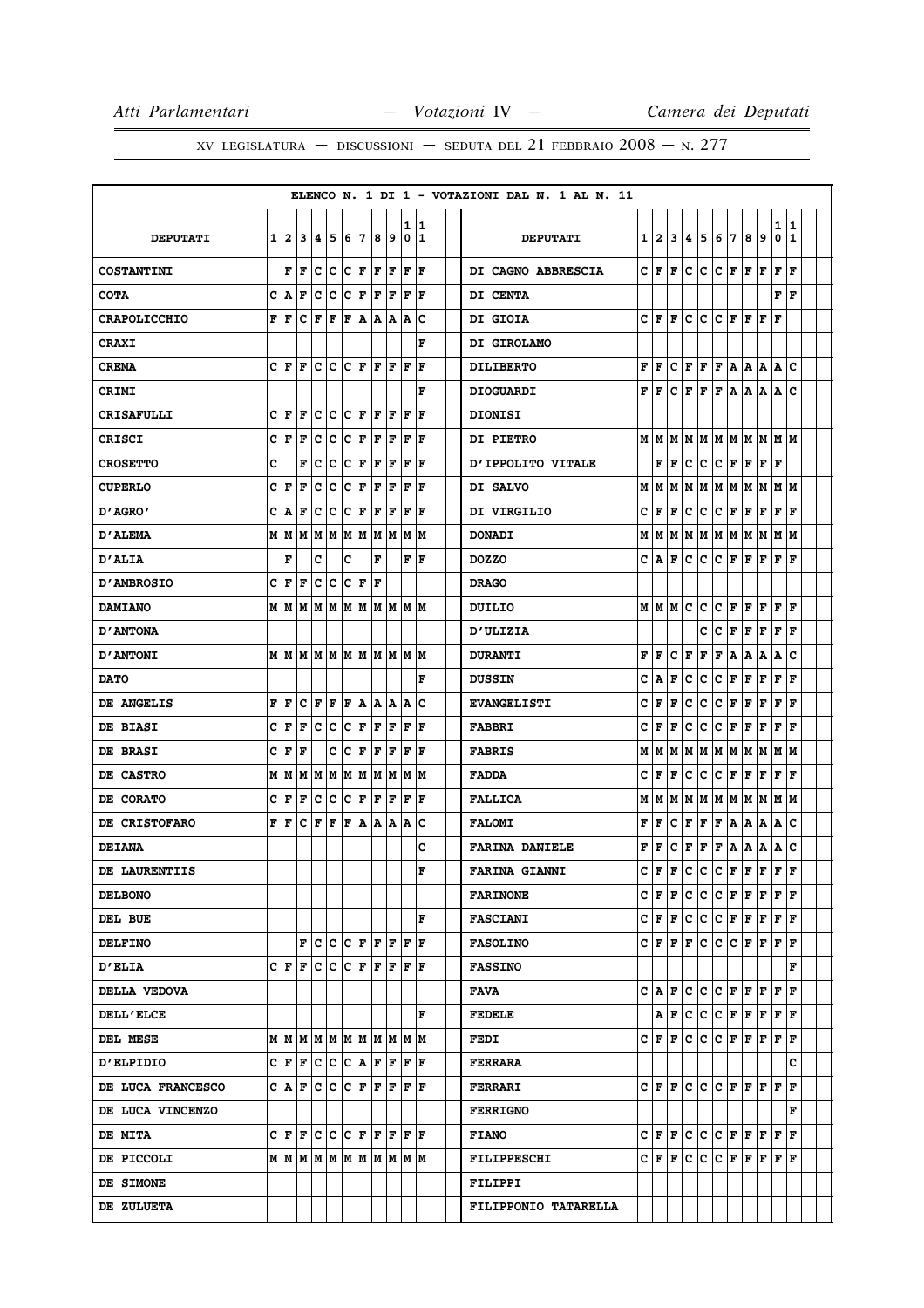|                     |          |              |                                                                                           |     |                    |                      |         |     |                     |    |                                                                                                                                                                                     |  | ELENCO N. 1 DI 1 - VOTAZIONI DAL N. 1 AL N. 11 |                |               |                |                |    |                                                                                                                                                             |              |       |                                                               |      |              |  |
|---------------------|----------|--------------|-------------------------------------------------------------------------------------------|-----|--------------------|----------------------|---------|-----|---------------------|----|-------------------------------------------------------------------------------------------------------------------------------------------------------------------------------------|--|------------------------------------------------|----------------|---------------|----------------|----------------|----|-------------------------------------------------------------------------------------------------------------------------------------------------------------|--------------|-------|---------------------------------------------------------------|------|--------------|--|
|                     |          |              |                                                                                           |     |                    |                      |         |     |                     |    | 1 1                                                                                                                                                                                 |  |                                                |                |               |                |                |    |                                                                                                                                                             |              |       |                                                               | 1    | 1            |  |
| <b>DEPUTATI</b>     | $1 \mid$ | $\mathbf{2}$ |                                                                                           | 3 4 | 5                  | 16                   | 17      | 8   | و١                  | 0  | 11                                                                                                                                                                                  |  | <b>DEPUTATI</b>                                | 1 <sup>1</sup> | 2             | 3 <sup>1</sup> | 4 <sup>1</sup> | 5  | 6                                                                                                                                                           | 7            | 8     | 9                                                             | 0    | $\mathbf{1}$ |  |
| <b>COSTANTINI</b>   |          |              | $\mathbf{F} \mathbf{F} \mathbf{C} \mathbf{C} \mathbf{C} \mathbf{F} \mathbf{F} \mathbf{F}$ |     |                    |                      |         |     |                     | F  | ١F                                                                                                                                                                                  |  | DI CAGNO ABBRESCIA                             |                | CF            | F              | c              | c  |                                                                                                                                                             |              |       | $C$ $F$ $F$ $F$ $F$                                           |      | F            |  |
| <b>COTA</b>         |          | C A          | F                                                                                         |     | C C C F F F        |                      |         |     |                     | ΙF | ١F                                                                                                                                                                                  |  | DI CENTA                                       |                |               |                |                |    |                                                                                                                                                             |              |       |                                                               | F    | F            |  |
| <b>CRAPOLICCHIO</b> |          | F F          |                                                                                           | C F | F                  | F                    |         |     | A A A               |    | ١c                                                                                                                                                                                  |  | <b>DI GIOIA</b>                                |                | C F           | F              | c              | c  | c                                                                                                                                                           | F F          |       | F                                                             | F    |              |  |
| <b>CRAXI</b>        |          |              |                                                                                           |     |                    |                      |         |     |                     |    | F                                                                                                                                                                                   |  | DI GIROLAMO                                    |                |               |                |                |    |                                                                                                                                                             |              |       |                                                               |      |              |  |
| <b>CREMA</b>        |          | CF           | lF.                                                                                       |     |                    |                      |         |     |                     | ١F | F                                                                                                                                                                                   |  | <b>DILIBERTO</b>                               | F              | F             | c              | F              | F  | F A                                                                                                                                                         |              | А     | А                                                             | А    | c            |  |
| CRIMI               |          |              |                                                                                           |     |                    |                      |         |     |                     |    | F                                                                                                                                                                                   |  | <b>DIOGUARDI</b>                               | F              | F             | c              | F              | F  |                                                                                                                                                             |              |       | F A A A A                                                     |      | c            |  |
| <b>CRISAFULLI</b>   |          | CF           | l F                                                                                       | c   | c                  | $ {\bf C}  {\bf F} $ |         | ١F  | ١F                  | F  | F                                                                                                                                                                                   |  | <b>DIONISI</b>                                 |                |               |                |                |    |                                                                                                                                                             |              |       |                                                               |      |              |  |
| <b>CRISCI</b>       |          | CF           | F                                                                                         | c   | $\bar{\mathbf{C}}$ | $ {\bf C}  {\bf F} $ |         | F F |                     | F  | ١F                                                                                                                                                                                  |  | <b>DI PIETRO</b>                               |                | M   M         |                |                |    | M   M   M   M   M   M   M   M                                                                                                                               |              |       |                                                               |      |              |  |
| <b>CROSETTO</b>     | c        |              | F                                                                                         | с   | c                  | $ {\bf C}  {\bf F} $ |         | F   | F                   | F  | lF                                                                                                                                                                                  |  | D'IPPOLITO VITALE                              |                | F             | F              | c              | c  | C F                                                                                                                                                         |              |       | ${\bf F} \parallel {\bf F} \parallel$                         | F    |              |  |
| <b>CUPERLO</b>      |          | CF           | F                                                                                         | с   | c                  | Ιc                   | F       | F   | F                   | F  | F                                                                                                                                                                                   |  | DI SALVO                                       |                | MIM           | м              | м              |    | MMM                                                                                                                                                         |              | M     | IМ                                                            | M M  |              |  |
| "AGRO מ             |          | C A          | F                                                                                         |     | C C C F F F        |                      |         |     |                     |    | F  F                                                                                                                                                                                |  | DI VIRGILIO                                    | с              | F             | F              | с              | с  | C F                                                                                                                                                         |              | F F   |                                                               | F F  |              |  |
| <b>D'ALEMA</b>      |          | M   M        | М                                                                                         |     |                    |                      |         |     |                     |    | M  M  M  M  M  M  M  M                                                                                                                                                              |  | <b>DONADI</b>                                  | М              | М             | м              | М              | М  | М                                                                                                                                                           | M            | М     | M                                                             | м    | lМ           |  |
| D'ALIA              |          | F            |                                                                                           | c   |                    | c                    |         | F   |                     |    | F  F                                                                                                                                                                                |  | <b>DOZZO</b>                                   |                | C A           | F              | с              | с  | с                                                                                                                                                           |              |       | F   F   F   F                                                 |      |              |  |
| <b>D'AMBROSIO</b>   | c        | l F          | F                                                                                         |     | c c                | $ {\bf C}  {\bf F} $ |         | ١F  |                     |    |                                                                                                                                                                                     |  | <b>DRAGO</b>                                   |                |               |                |                |    |                                                                                                                                                             |              |       |                                                               |      |              |  |
| <b>DAMIANO</b>      |          | MM           |                                                                                           |     |                    |                      |         |     |                     |    | M  M  M  M  M  M  M  M  M                                                                                                                                                           |  | DUILIO                                         |                | мIм           | M              | c              | с  | c                                                                                                                                                           | F            | F     | F                                                             | F    | F            |  |
| <b>D'ANTONA</b>     |          |              |                                                                                           |     |                    |                      |         |     |                     |    |                                                                                                                                                                                     |  | <b>D'ULIZIA</b>                                |                |               |                |                | c  | c                                                                                                                                                           | F            | F     | F                                                             | F    | ١F           |  |
| <b>D'ANTONI</b>     |          |              |                                                                                           |     |                    |                      |         |     |                     |    |                                                                                                                                                                                     |  | <b>DURANTI</b>                                 | F              | F             | с              | F              | F  | F                                                                                                                                                           | А            | А     | A                                                             | A    | c            |  |
| <b>DATO</b>         |          |              |                                                                                           |     |                    |                      |         |     |                     |    | F                                                                                                                                                                                   |  | <b>DUSSIN</b>                                  | с              | Α             | F              | с              | с  | с                                                                                                                                                           | F            | F     | F                                                             | F F  |              |  |
| DE ANGELIS          | F        | ١F           | c                                                                                         | F   | F                  | F                    |         |     | A  A  A  A          |    | c                                                                                                                                                                                   |  | <b>EVANGELISTI</b>                             | с              | F             | F              | с              | с  | с                                                                                                                                                           | F            | F     | F                                                             | F    | F            |  |
| DE BIASI            |          | CF           | F                                                                                         | c c |                    |                      | C F F F |     |                     | F  | ١F                                                                                                                                                                                  |  | <b>FABBRI</b>                                  | с              | F             | F              | с              | c  | c                                                                                                                                                           | $\mathbf{F}$ | F     | F                                                             | F    | F            |  |
| <b>DE BRASI</b>     | c        | F            | F                                                                                         |     | c                  | Ιc                   | ΙF      | F   | F                   | lF | ١F                                                                                                                                                                                  |  | <b>FABRIS</b>                                  | М              | М             | М              | М              | M  | M  M                                                                                                                                                        |              | M   M |                                                               | M  M |              |  |
| DE CASTRO           |          | M   M        | M                                                                                         |     |                    |                      |         |     |                     |    | M  M  M  M  M  M  M  M                                                                                                                                                              |  | <b>FADDA</b>                                   | с              | F             | F              | c              | с  | c                                                                                                                                                           | F            | F     | F                                                             | F    | F            |  |
| DE CORATO           |          | CF           | F                                                                                         |     |                    |                      |         |     | C  C  C  F  F  F  F |    | ١F                                                                                                                                                                                  |  | <b>FALLICA</b>                                 | М              | M             |                |                |    | M  M  M  M  M  M  M  M  M                                                                                                                                   |              |       |                                                               |      |              |  |
| DE CRISTOFARO       |          | F F          |                                                                                           | CF  | F                  | F                    |         |     | A  A  A  A          |    | Ιc                                                                                                                                                                                  |  | <b>FALOMI</b>                                  | F              | F             | c              | F              | F  | F                                                                                                                                                           | Α            | Α     | A                                                             | A    | c            |  |
| <b>DEIANA</b>       |          |              |                                                                                           |     |                    |                      |         |     |                     |    | c                                                                                                                                                                                   |  | <b>FARINA DANIELE</b>                          | F              | F             | с              | F              | F  | F                                                                                                                                                           | A            | Α     | А                                                             | Α    | c            |  |
| DE LAURENTIIS       |          |              |                                                                                           |     |                    |                      |         |     |                     |    | F                                                                                                                                                                                   |  | <b>FARINA GIANNI</b>                           | c              | lF.           | F              | c              | c  | $\mathbf c$                                                                                                                                                 | F            | F     | F                                                             | F    | F            |  |
| <b>DELBONO</b>      |          |              |                                                                                           |     |                    |                      |         |     |                     |    |                                                                                                                                                                                     |  | <b>FARINONE</b>                                |                |               |                |                |    | $\begin{array}{c c c c c c c c c c c c c c c} \hline \end{array}$                                                                                           |              |       |                                                               |      |              |  |
| DEL BUE             |          |              |                                                                                           |     |                    |                      |         |     |                     |    | F                                                                                                                                                                                   |  | <b>FASCIANI</b>                                |                |               |                |                |    | $C \vert \mathbf{F} \vert \mathbf{F} \vert C \vert C \vert \mathbf{F} \vert \mathbf{F} \vert \mathbf{F} \vert \mathbf{F} \vert \mathbf{F} \vert \mathbf{F}$ |              |       |                                                               |      |              |  |
| <b>DELFINO</b>      |          |              |                                                                                           |     |                    |                      |         |     |                     |    | $\mathbf{F} \left[ \mathbf{C} \left  \mathbf{C} \left  \mathbf{F} \left  \mathbf{F} \left  \mathbf{F} \left  \mathbf{F} \right. \right. \right. \right  \mathbf{F} \right. \right]$ |  | <b>FASOLINO</b>                                |                |               |                |                |    | $C \vert \mathbf{F} \vert \mathbf{F} \vert \mathbf{F} \vert C \vert C \vert \mathbf{F} \vert \mathbf{F} \vert \mathbf{F} \vert \mathbf{F} \vert \mathbf{F}$ |              |       |                                                               |      |              |  |
| <b>D'ELIA</b>       |          |              |                                                                                           |     |                    |                      |         |     |                     |    | $C \vert F \vert F \vert C \vert C \vert F \vert F \vert F \vert F \vert F \vert F$                                                                                                 |  | <b>FASSINO</b>                                 |                |               |                |                |    |                                                                                                                                                             |              |       |                                                               |      | F            |  |
| DELLA VEDOVA        |          |              |                                                                                           |     |                    |                      |         |     |                     |    |                                                                                                                                                                                     |  | FAVA                                           |                | C IA          | F              | c              |    | $ {\bf C}\, {\bf C}\, $ f $ {\bf F}\, {\bf F}\, $ f $ {\bf F}\, $                                                                                           |              |       |                                                               |      |              |  |
| <b>DELL'ELCE</b>    |          |              |                                                                                           |     |                    |                      |         |     |                     |    | F                                                                                                                                                                                   |  | <b>FEDELE</b>                                  |                |               |                |                |    | A F C C C F F F F F F                                                                                                                                       |              |       |                                                               |      |              |  |
| <b>DEL MESE</b>     |          |              |                                                                                           |     |                    |                      |         |     |                     |    |                                                                                                                                                                                     |  | <b>FEDI</b>                                    |                | C F F         |                | c              | c. |                                                                                                                                                             |              |       | $ {\bf C}\, {\bf F}\, {\bf F}\, {\bf F}\, {\bf F}\, {\bf F} $ |      |              |  |
| <b>D'ELPIDIO</b>    |          |              |                                                                                           |     |                    |                      |         |     |                     |    | $C  F F  C  C  C  A  F  F  F  F$                                                                                                                                                    |  | <b>FERRARA</b>                                 |                |               |                |                |    |                                                                                                                                                             |              |       |                                                               |      | c            |  |
| DE LUCA FRANCESCO   |          |              |                                                                                           |     |                    |                      |         |     |                     |    | $C  A  F  C  C  C  F  F  F  F  F  F$                                                                                                                                                |  | <b>FERRARI</b>                                 |                |               |                |                |    | $\begin{array}{c c c c c c c c c c c c c c}\n\hline\n\end{array}$                                                                                           |              |       |                                                               |      | $\mathbf F$  |  |
| DE LUCA VINCENZO    |          |              |                                                                                           |     |                    |                      |         |     |                     |    |                                                                                                                                                                                     |  | <b>FERRIGNO</b>                                |                |               |                |                |    |                                                                                                                                                             |              |       |                                                               |      | F            |  |
| <b>DE MITA</b>      |          |              |                                                                                           |     |                    |                      |         |     |                     |    | $C \vert \mathbf{F} \vert \mathbf{F} \vert C \vert C \vert \mathbf{F} \vert \mathbf{F} \vert \mathbf{F} \vert \mathbf{F} \vert \mathbf{F} \vert \mathbf{F}$                         |  | <b>FIANO</b>                                   |                |               |                |                |    | $C F F C C C F F F F F F F$                                                                                                                                 |              |       |                                                               |      |              |  |
| DE PICCOLI          |          |              |                                                                                           |     |                    |                      |         |     |                     |    |                                                                                                                                                                                     |  | <b>FILIPPESCHI</b>                             |                | $C$ $ F $ $F$ |                | c              | c. |                                                                                                                                                             |              |       | $C$ $F$ $F$ $F$ $F$ $F$                                       |      |              |  |
| <b>DE SIMONE</b>    |          |              |                                                                                           |     |                    |                      |         |     |                     |    |                                                                                                                                                                                     |  | <b>FILIPPI</b>                                 |                |               |                |                |    |                                                                                                                                                             |              |       |                                                               |      |              |  |
| DE ZULUETA          |          |              |                                                                                           |     |                    |                      |         |     |                     |    |                                                                                                                                                                                     |  | FILIPPONIO TATARELLA                           |                |               |                |                |    |                                                                                                                                                             |              |       |                                                               |      |              |  |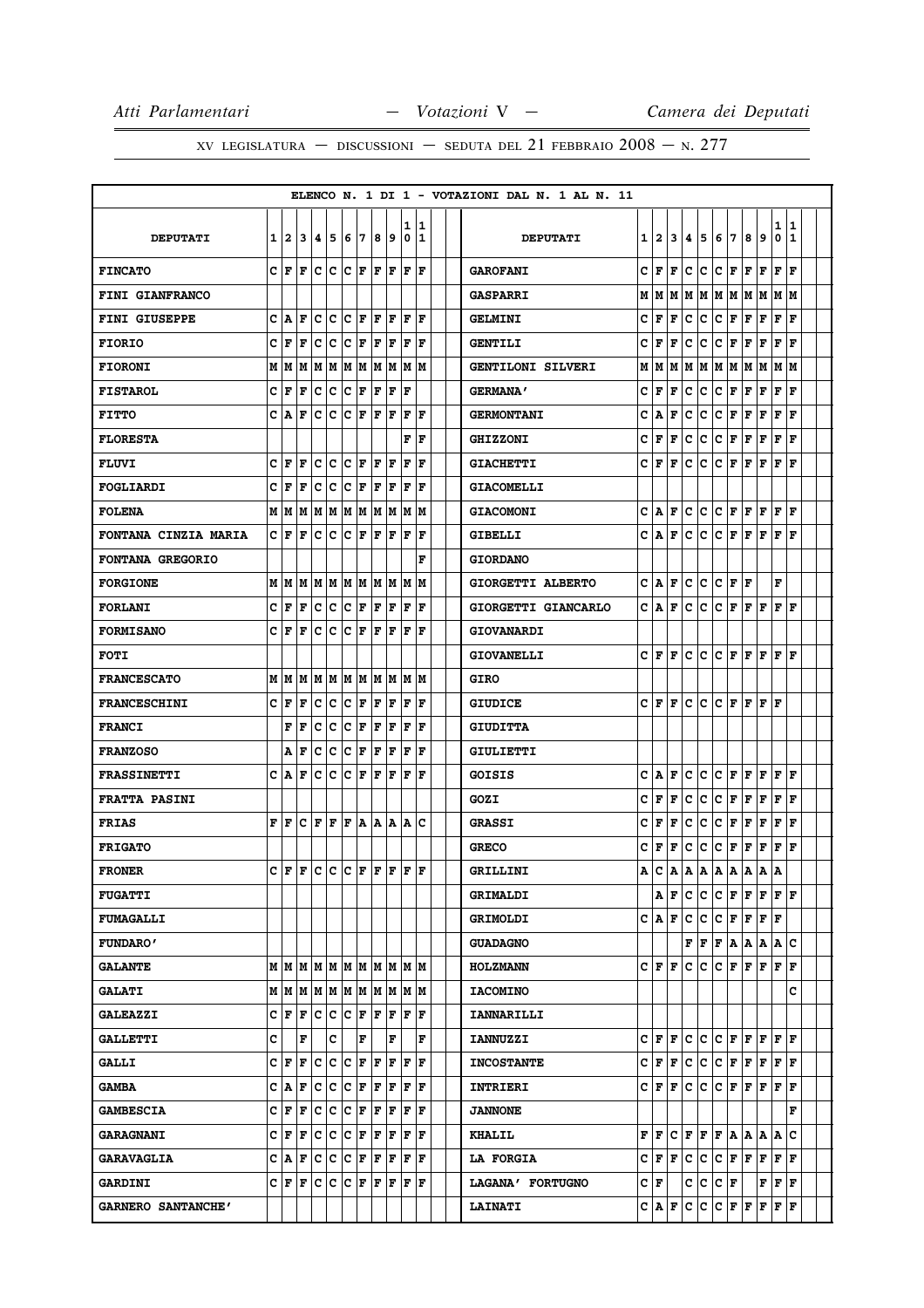|                             |                |       |                     |                              |                        |    |                              |       |    |     |                                                                                     |  | ELENCO N. 1 DI 1 - VOTAZIONI DAL N. 1 AL N. 11 |   |                           |    |   |                                       |     |                       |              |                                       |              |              |  |
|-----------------------------|----------------|-------|---------------------|------------------------------|------------------------|----|------------------------------|-------|----|-----|-------------------------------------------------------------------------------------|--|------------------------------------------------|---|---------------------------|----|---|---------------------------------------|-----|-----------------------|--------------|---------------------------------------|--------------|--------------|--|
|                             |                |       |                     |                              |                        |    |                              |       |    | 1   | 11                                                                                  |  |                                                |   |                           |    |   |                                       |     |                       |              |                                       | 1            | 1            |  |
| <b>DEPUTATI</b>             | 1 <sup>1</sup> | 2     | 3                   | 4                            | 5                      | 16 | 7                            | 8     | 9  | 0   | 11                                                                                  |  | <b>DEPUTATI</b>                                | 1 | 2                         | 3  | 4 | 5                                     | 6   | 7                     | 8            | 9                                     | 0            | 1            |  |
| <b>FINCATO</b>              |                | CF    | F                   |                              | C C C F                |    |                              | F  F  |    | F   | lF                                                                                  |  | <b>GAROFANI</b>                                | c | F                         | F  | c | c                                     | c   | F                     | F            | F                                     | F            | F            |  |
| FINI GIANFRANCO             |                |       |                     |                              |                        |    |                              |       |    |     |                                                                                     |  | <b>GASPARRI</b>                                | М | М                         | М  | М | M                                     |     | MMMM                  |              |                                       | MM           |              |  |
| <b>FINI GIUSEPPE</b>        |                | C A   | F                   | c                            | $\overline{c}$         |    | $ {\tt C} \,  $ ${\tt F} \,$ | IF IF |    | F   | ١F                                                                                  |  | <b>GELMINI</b>                                 | с | F                         | F  | c | с                                     | c   | F                     | F            | F                                     | F            | F            |  |
| <b>FIORIO</b>               |                | C F   | F                   |                              |                        |    |                              |       |    | F   | ١F                                                                                  |  | <b>GENTILI</b>                                 | c | F                         | F  | c | с                                     | c   | F                     | F            | F                                     | F            | F            |  |
| <b>FIORONI</b>              |                |       |                     |                              |                        |    |                              |       |    |     |                                                                                     |  | <b>GENTILONI SILVERI</b>                       | М | lМ                        | M  |   |                                       |     |                       |              | M M M M M M M M                       |              |              |  |
| <b>FISTAROL</b>             |                | CF    | F                   |                              | C C C F F F F          |    |                              |       |    |     |                                                                                     |  | <b>GERMANA'</b>                                | с | F                         | F  | с | с                                     | c   | F                     | F            | F                                     | F            | ΙF           |  |
| <b>FITTO</b>                |                | C IA  | F                   | с                            |                        |    | C C F F                      |       | ١F | ١F  | ١F                                                                                  |  | <b>GERMONTANI</b>                              | c | А                         | F  | с | с                                     | с   | F                     | F            | F                                     | F            | F            |  |
| <b>FLORESTA</b>             |                |       |                     |                              |                        |    |                              |       |    | F   | ١F                                                                                  |  | <b>GHIZZONI</b>                                | с | F                         | F  | c | с                                     | с   | Г                     | F            | F                                     | F            | ΙF           |  |
| <b>FLUVI</b>                |                | CF    | F                   | c                            | lc.                    |    | $ {\bf C}  {\bf F} $         | ١F    | F  | F   | l F                                                                                 |  | <b>GIACHETTI</b>                               | c | F                         | F  | c | c                                     | c   | F                     | F            | F                                     | F            | F            |  |
| FOGLIARDI                   |                | CF    | ١F                  |                              |                        |    |                              |       |    | ١F  | ١F                                                                                  |  | <b>GIACOMELLI</b>                              |   |                           |    |   |                                       |     |                       |              |                                       |              |              |  |
| <b>FOLENA</b>               |                | M   M |                     |                              |                        |    |                              |       |    |     | M  M  M  M  M  M  M  M  M                                                           |  | <b>GIACOMONI</b>                               | с | A                         | F  | c | с                                     | c   | F                     | F            | F                                     | F            | F            |  |
| <b>FONTANA CINZIA MARIA</b> |                | CIF   | F                   | c                            | C                      |    | C F F F                      |       |    | ١F  | l F                                                                                 |  | GIBELLI                                        | c | A                         | F  | c | c                                     | c   | F                     | F            | F                                     | F            | F            |  |
| FONTANA GREGORIO            |                |       |                     |                              |                        |    |                              |       |    |     | F                                                                                   |  | <b>GIORDANO</b>                                |   |                           |    |   |                                       |     |                       |              |                                       |              |              |  |
| <b>FORGIONE</b>             |                | M   M |                     |                              | M  M  M  M  M  M  M  M |    |                              |       |    |     | lМ                                                                                  |  | GIORGETTI ALBERTO                              | c | А                         | F  | c | с                                     | с   | F                     | F            |                                       | F            |              |  |
| <b>FORLANI</b>              |                | CF    | F                   |                              | C C C F F F            |    |                              |       |    |     | F F                                                                                 |  | GIORGETTI GIANCARLO                            | c | ١A                        | F  | c | с                                     | c   |                       | F F F        |                                       | $F$ $\bf{F}$ |              |  |
| <b>FORMISANO</b>            | c              | F     | F                   | c                            | c                      |    | $ {\bf C}  {\bf F}  {\bf F}$ |       | lF | F   | ١F                                                                                  |  | <b>GIOVANARDI</b>                              |   |                           |    |   |                                       |     |                       |              |                                       |              |              |  |
| <b>FOTI</b>                 |                |       |                     |                              |                        |    |                              |       |    |     |                                                                                     |  | <b>GIOVANELLI</b>                              |   | CF                        | F  | c | c                                     | c   |                       |              | $\bf  F  F  F  F $                    |              |              |  |
| <b>FRANCESCATO</b>          |                |       |                     |                              |                        |    |                              |       |    |     |                                                                                     |  | GIRO                                           |   |                           |    |   |                                       |     |                       |              |                                       |              |              |  |
| <b>FRANCESCHINI</b>         | c              | F     | F                   | с                            | c                      |    | $ {\bf C}  {\bf F} $         | F     | F  | ΙF  | F                                                                                   |  | <b>GIUDICE</b>                                 | c | F                         | F  | c | c                                     | c   | F                     | F            | F                                     | F            |              |  |
| <b>FRANCI</b>               |                | F     | ΙF                  |                              |                        |    |                              |       |    |     | C  C  C  F  F  F  F  F                                                              |  | <b>GIUDITTA</b>                                |   |                           |    |   |                                       |     |                       |              |                                       |              |              |  |
| <b>FRANZOSO</b>             |                | А     | F                   | с                            | c                      | c  | F                            | F     | F  | F   | F                                                                                   |  | GIULIETTI                                      |   |                           |    |   |                                       |     |                       |              |                                       |              |              |  |
| <b>FRASSINETTI</b>          |                | C IA  | F                   | c                            | c                      |    | C F F F                      |       |    |     | F  F                                                                                |  | <b>GOISIS</b>                                  | c | ١A                        | F  | с | с                                     | c   | F                     | F            | F F                                   |              | ١F           |  |
| <b>FRATTA PASINI</b>        |                |       |                     |                              |                        |    |                              |       |    |     |                                                                                     |  | GOZI                                           | c | F                         | F  | с | c                                     | c   | Г                     | F            | F                                     | F            | F            |  |
| <b>FRIAS</b>                |                | FIF   |                     | $ {\bf C}  {\bf F}  {\bf F}$ |                        |    |                              |       |    |     | F A A A A C                                                                         |  | <b>GRASSI</b>                                  | с | F                         | F  | c | c                                     | c   | F                     | F            | F                                     | F            | F            |  |
| <b>FRIGATO</b>              |                |       |                     |                              |                        |    |                              |       |    |     |                                                                                     |  | <b>GRECO</b>                                   | c | F                         | F  | с | с                                     | с   | F                     | F            | F                                     | FF           |              |  |
| <b>FRONER</b>               |                |       | C F F C C C F F F   |                              |                        |    |                              |       |    | lF. | ١F                                                                                  |  | GRILLINI                                       | Α | c                         | A  | Α | А                                     | Α   | Α                     | Α            | А                                     | Α            |              |  |
| <b>FUGATTI</b>              |                |       |                     |                              |                        |    |                              |       |    |     |                                                                                     |  | <b>GRIMALDI</b>                                |   | Α                         | F  | с | c                                     |     |                       |              | C F F F F F                           |              |              |  |
| <b>FUMAGALLI</b>            |                |       |                     |                              |                        |    |                              |       |    |     |                                                                                     |  | <b>GRIMOLDI</b>                                |   | $C \mathbf{A} $           | F  | с | с                                     |     | C F                   | $\mathbf{F}$ | F F                                   |              |              |  |
| <b>FUNDARO'</b>             |                |       |                     |                              |                        |    |                              |       |    |     |                                                                                     |  | <b>GUADAGNO</b>                                |   |                           |    |   | ${\bf F} \parallel {\bf F} \parallel$ |     |                       |              | F A A A                               | Α            | c            |  |
| <b>GALANTE</b>              |                |       |                     |                              |                        |    |                              |       |    |     | M   M   M   M   M   M   M   M   M   M                                               |  | <b>HOLZMANN</b>                                |   | C  F  F                   |    | c | c                                     |     | C F                   |              | $\bf F$ $\bf F$ $\bf F$ $\bf F$ $\bf$ |              |              |  |
| <b>GALATI</b>               |                |       |                     |                              |                        |    |                              |       |    |     | M   M   M   M   M   M   M   M   M   M                                               |  | <b>IACOMINO</b>                                |   |                           |    |   |                                       |     |                       |              |                                       |              | c            |  |
| <b>GALEAZZI</b>             |                |       |                     |                              |                        |    |                              |       |    |     | $C F F C C C F F F F F F F$                                                         |  | IANNARILLI                                     |   |                           |    |   |                                       |     |                       |              |                                       |              |              |  |
| <b>GALLETTI</b>             | с              |       | F                   |                              | c                      |    | F                            |       | F  |     | F                                                                                   |  | <b>IANNUZZI</b>                                |   | C F                       | F  | с | c                                     |     | C F                   | F            | F F F                                 |              |              |  |
| <b>GALLI</b>                |                |       |                     |                              |                        |    |                              |       |    |     | $C \vert F \vert F \vert C \vert C \vert F \vert F \vert F \vert F \vert F \vert F$ |  | <b>INCOSTANTE</b>                              |   | C F F                     |    | c | c.                                    |     | C F                   |              | $ {\bf F}  {\bf F}  {\bf F}  {\bf F}$ |              |              |  |
| <b>GAMBA</b>                |                | C A   | F                   | c                            |                        |    |                              |       |    |     | C C F F F F F                                                                       |  | INTRIERI                                       |   | C F                       | F  | c | c                                     | c   | F                     | F            | $\mathbf{F}$                          | F            | $\mathbf F$  |  |
| <b>GAMBESCIA</b>            |                | C F F |                     |                              | C C C F F F            |    |                              |       |    |     | F F                                                                                 |  | <b>JANNONE</b>                                 |   |                           |    |   |                                       |     |                       |              |                                       |              | F            |  |
| <b>GARAGNANI</b>            |                |       | C F F C C C F F F F |                              |                        |    |                              |       |    |     | F F                                                                                 |  | <b>KHALIL</b>                                  |   | $\mathbf{F}   \mathbf{F}$ | c. |   |                                       |     |                       |              | $F$ $F$ $F$ $A$ $A$ $A$ $A$           |              | $\mathbf{C}$ |  |
| <b>GARAVAGLIA</b>           |                |       |                     |                              |                        |    |                              |       |    |     | $C  A  F  C  C  C  F  F  F  F  F  F $                                               |  | <b>LA FORGIA</b>                               |   | CF                        | F  | c | c                                     |     | $C$ $\bf{F}$ $\bf{F}$ |              | F                                     | F            | $\mathbf F$  |  |
| <b>GARDINI</b>              |                |       |                     |                              |                        |    |                              |       |    |     | $C F F C C C F F F F F F F$                                                         |  | LAGANA' FORTUGNO                               |   | CF                        |    | c | с                                     | C F |                       |              | $\mathbf{F}$                          | F F          |              |  |
| GARNERO SANTANCHE'          |                |       |                     |                              |                        |    |                              |       |    |     |                                                                                     |  | <b>LAINATI</b>                                 |   | C  A                      | F  | c | с                                     | C F |                       | F            | F                                     | F            | F            |  |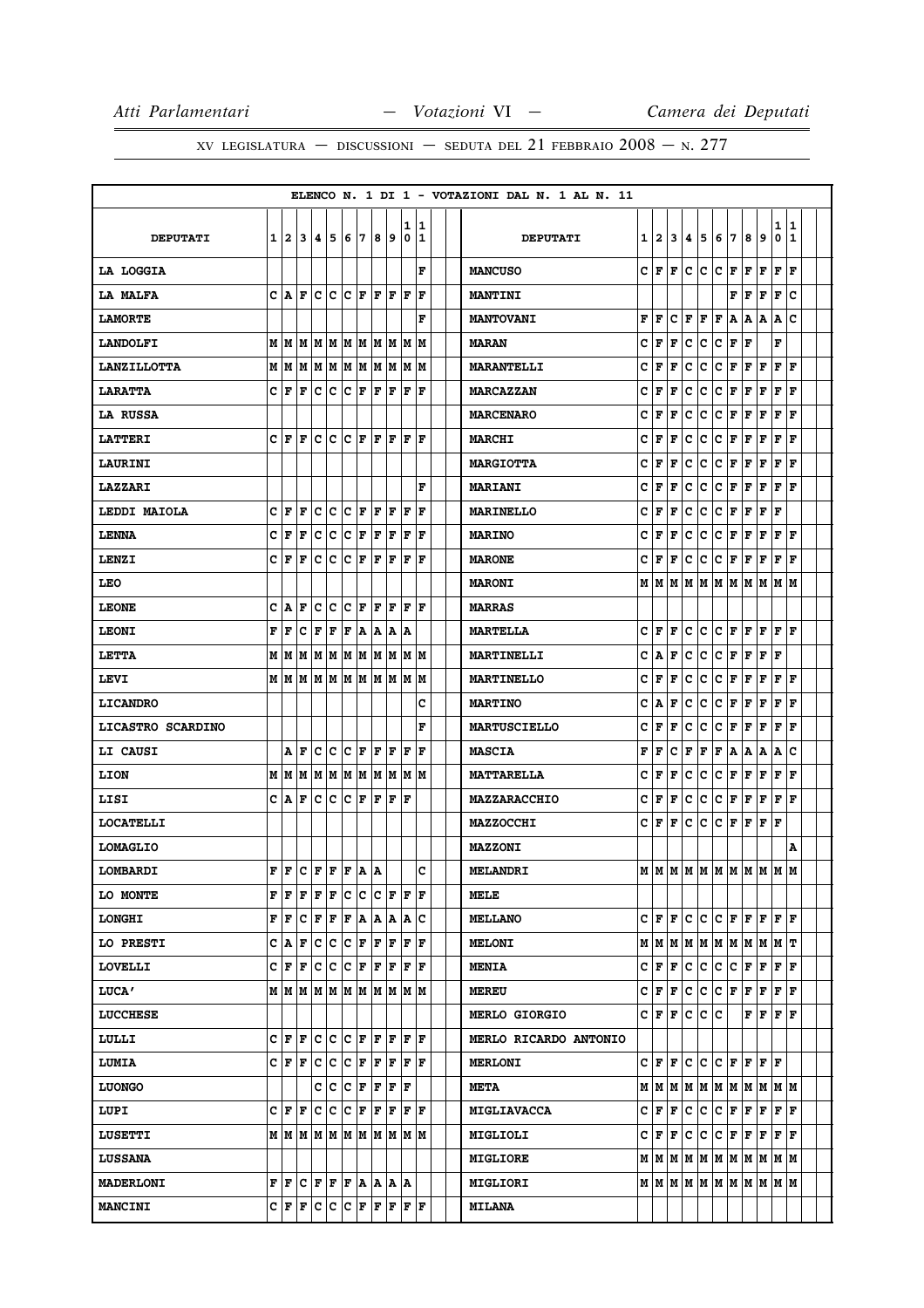|                    |   |       |                                                                                                                                                       |             |                        |                      |             |         |     |              |             |  | ELENCO N. 1 DI 1 - VOTAZIONI DAL N. 1 AL N. 11 |   |               |     |     |             |             |     |                                                                    |   |                                      |              |  |
|--------------------|---|-------|-------------------------------------------------------------------------------------------------------------------------------------------------------|-------------|------------------------|----------------------|-------------|---------|-----|--------------|-------------|--|------------------------------------------------|---|---------------|-----|-----|-------------|-------------|-----|--------------------------------------------------------------------|---|--------------------------------------|--------------|--|
|                    |   |       |                                                                                                                                                       |             |                        |                      |             |         |     | 1            | 1           |  |                                                |   |               |     |     |             |             |     |                                                                    |   | 1                                    | 1            |  |
| <b>DEPUTATI</b>    |   |       | 1 2 3 4 5                                                                                                                                             |             |                        | 6                    | 7           | 819     |     | 0            | 11          |  | <b>DEPUTATI</b>                                |   | 1 2           |     | 34  | 5           |             | 6 7 | 8                                                                  | 9 | 0                                    | $\mathbf{1}$ |  |
| LA LOGGIA          |   |       |                                                                                                                                                       |             |                        |                      |             |         |     |              | F           |  | <b>MANCUSO</b>                                 |   | CIF           | lF. | c   | C           | c           | F   | F                                                                  | F | F                                    | F            |  |
| LA MALFA           |   |       | C A F                                                                                                                                                 | c c         |                        | C F                  |             | F  F    |     | ΙF           | F           |  | <b>MANTINI</b>                                 |   |               |     |     |             |             | F   | F                                                                  | F | F                                    | c            |  |
| <b>LAMORTE</b>     |   |       |                                                                                                                                                       |             |                        |                      |             |         |     |              | F           |  | <b>MANTOVANI</b>                               | F | F             | c   | F   | F           | F           | А   | А                                                                  | А | Α                                    | c            |  |
| <b>LANDOLFI</b>    |   |       | $M$   $M$   $M$   $M$   $M$   $M$   $M$   $M$   $M$   $M$                                                                                             |             |                        |                      |             |         |     |              |             |  | <b>MARAN</b>                                   | c | F             | F   | с   | с           | c           | F   | F                                                                  |   | F                                    |              |  |
| <b>LANZILLOTTA</b> |   | мM    | lм                                                                                                                                                    |             | MM                     | M                    | M           | lм      | M   | М            | M           |  | <b>MARANTELLI</b>                              | c | F             | F   | c   | c           | c           | F   | F                                                                  | F | F                                    | F            |  |
| <b>LARATTA</b>     |   | CF    | F                                                                                                                                                     | c c         |                        | $ c _F$              |             | lF.     | F   | İΓ           | ١F          |  | <b>MARCAZZAN</b>                               | C | F             | F   | c   | с           | $\mathbf c$ | F   | F                                                                  | F | F                                    | F            |  |
| <b>LA RUSSA</b>    |   |       |                                                                                                                                                       |             |                        |                      |             |         |     |              |             |  | <b>MARCENARO</b>                               | c | F             | F   | c   | с           | с           | Г   | F                                                                  | F | FF                                   |              |  |
| <b>LATTERI</b>     |   | CF    | ١F                                                                                                                                                    |             | IC IC IC IF            |                      |             | lF.     | ١F  | ١F           | F           |  | <b>MARCHI</b>                                  | c | F             | F   | c   | c           | c           | F   | F                                                                  | F | F                                    | F            |  |
| <b>LAURINI</b>     |   |       |                                                                                                                                                       |             |                        |                      |             |         |     |              |             |  | <b>MARGIOTTA</b>                               | с | F             | F   | c   | c           | с           | F   | F                                                                  | F | FF                                   |              |  |
| <b>LAZZARI</b>     |   |       |                                                                                                                                                       |             |                        |                      |             |         |     |              | F           |  | <b>MARIANI</b>                                 | c | F             | F   | c   | с           | c           | F   | F                                                                  | F | F                                    | F            |  |
| LEDDI MAIOLA       |   | CF    | F                                                                                                                                                     |             | c c                    | C F                  |             | F F     |     | F            | ١F          |  | <b>MARINELLO</b>                               | с | F             | F   | c   | c           | c           | Г   | F                                                                  | F | F                                    |              |  |
| <b>LENNA</b>       |   | C F   | F                                                                                                                                                     | c           | c                      | с                    | F           | F       | F   | F            | ΙF          |  | <b>MARINO</b>                                  | c | F             | F   | c   | c           | c           | F   | F                                                                  | F | $_{\rm F}$ $_{\rm F}$                |              |  |
| LENZI              |   | сŀг   | İΓ                                                                                                                                                    | lc.         | $\overline{c}$         | c                    | F           | lF      | F   | ΙF           | F           |  | <b>MARONE</b>                                  | C | F             | F   | C   | c           | $\mathbf c$ | F   | F                                                                  | F | F                                    | $\mathbf F$  |  |
| <b>LEO</b>         |   |       |                                                                                                                                                       |             |                        |                      |             |         |     |              |             |  | <b>MARONI</b>                                  |   | MM            | MM  |     |             |             |     | M  M  M  M  M  M  M                                                |   |                                      |              |  |
| <b>LEONE</b>       |   | C A   | F                                                                                                                                                     | c           | ∣c                     | Ιc                   | F           | l F     | F   | F            | F           |  | <b>MARRAS</b>                                  |   |               |     |     |             |             |     |                                                                    |   |                                      |              |  |
| <b>LEONI</b>       | F | F     | c                                                                                                                                                     | F           | F                      | F                    | ۱A          | A       | A   | ۱A           |             |  | <b>MARTELLA</b>                                | c | F             | lF. | с   | c           |             | C F | F                                                                  |   | $\mathbf{F} \mathbf{F} \mathbf{F}$   |              |  |
| LETTA              |   | M   M | M                                                                                                                                                     | M           | M                      | M                    | M           | M       | M   | M            | lМ          |  | <b>MARTINELLI</b>                              | c | А             | F   | c   | с           | с           | F   | F                                                                  | F | F                                    |              |  |
| LEVI               |   |       | MMM                                                                                                                                                   |             | M  M  M  M  M  M  M  M |                      |             |         |     |              |             |  | <b>MARTINELLO</b>                              | c | F             | F   | c   | c           | c           | F   | F                                                                  |   | F F F                                |              |  |
| <b>LICANDRO</b>    |   |       |                                                                                                                                                       |             |                        |                      |             |         |     |              | c           |  | <b>MARTINO</b>                                 | C | A             | F   | c   | c           | $\mathbf c$ | F   | F                                                                  | F | F                                    | F            |  |
| LICASTRO SCARDINO  |   |       |                                                                                                                                                       |             |                        |                      |             |         |     |              | F           |  | <b>MARTUSCIELLO</b>                            | c | F             | F   | c   | c           | c           | F   | F                                                                  | F | F                                    | F            |  |
| LI CAUSI           |   |       | AF                                                                                                                                                    |             | c c                    | $ {\bf C}  {\bf F} $ |             | F       | F   | F            | ΙF          |  | <b>MASCIA</b>                                  | F | F             | c   | F   | г           | F           | A   | Α                                                                  | Α | А                                    | c            |  |
| LION               |   | м∣м   | lм                                                                                                                                                    | M           | M                      | M                    | M           | M       | M   | lм           | lм          |  | <b>MATTARELLA</b>                              | c | F             | F   | c   | c           | c           | F   | F                                                                  | F | F                                    | F            |  |
| LISI               |   |       | C A F                                                                                                                                                 | $ c c c $ F |                        |                      |             | F       | F F |              |             |  | <b>MAZZARACCHIO</b>                            | с | F             | F   | с   | c           | c           | F   | F                                                                  | F | $\mathbf{F}   \mathbf{F}$            |              |  |
| <b>LOCATELLI</b>   |   |       |                                                                                                                                                       |             |                        |                      |             |         |     |              |             |  | <b>MAZZOCCHI</b>                               | c | l F           | F   | c   | с           | с           | F   | F                                                                  | F | F                                    |              |  |
| <b>LOMAGLIO</b>    |   |       |                                                                                                                                                       |             |                        |                      |             |         |     |              |             |  | <b>MAZZONI</b>                                 |   |               |     |     |             |             |     |                                                                    |   |                                      | Α            |  |
| LOMBARDI           |   |       | $\mathbf{F} \left  \mathbf{F} \right  \mathbf{C} \left  \mathbf{F} \right  \mathbf{F} \left  \mathbf{F} \right  \mathbf{A} \left  \mathbf{A} \right $ |             |                        |                      |             |         |     |              | C           |  | <b>MELANDRI</b>                                |   |               |     |     |             |             |     | $M$   $M$   $M$   $M$   $M$   $M$   $M$   $M$   $M$   $M$          |   |                                      |              |  |
| <b>LO MONTE</b>    |   |       | F F F                                                                                                                                                 | F F         |                        |                      | C C C F F F |         |     |              |             |  | <b>MELE</b>                                    |   |               |     |     |             |             |     |                                                                    |   |                                      |              |  |
| <b>LONGHI</b>      |   |       | F F C F F                                                                                                                                             |             |                        |                      |             |         |     |              | F A A A A C |  | <b>MELLANO</b>                                 |   |               |     |     |             |             |     | $C \mid F \mid F \mid C \mid C \mid F \mid F \mid F \mid F \mid F$ |   |                                      |              |  |
| LO PRESTI          |   |       | C A F                                                                                                                                                 | c c         |                        | ∣c∶                  | F           | ΙF      | F   | $\mathbf{F}$ | F           |  | <b>MELONI</b>                                  |   | M   M   M   M |     |     |             |             |     | M  M  M  M  M  M  T                                                |   |                                      |              |  |
| <b>LOVELLI</b>     |   |       | $C \mid F \mid F \mid C \mid C \mid F \mid F \mid F \mid F \mid F$                                                                                    |             |                        |                      |             |         |     |              |             |  | <b>MENIA</b>                                   |   | C F F         |     | c   | c           | c           | c.  | $ {\bf F}\, {\bf F}\, {\bf F}\, {\bf F} $                          |   |                                      |              |  |
| <b>LUCA'</b>       |   |       | $M$   $M$   $M$   $M$   $M$   $M$   $M$   $M$   $M$   $M$                                                                                             |             |                        |                      |             |         |     |              |             |  | <b>MEREU</b>                                   |   | C F           | F   | c   | c           | c           | F   | F F                                                                |   | FF                                   |              |  |
| <b>LUCCHESE</b>    |   |       |                                                                                                                                                       |             |                        |                      |             |         |     |              |             |  | <b>MERLO GIORGIO</b>                           |   | C F F C       |     |     |             | c c         |     |                                                                    |   | ${\bf F}$ $\bf{F}$ $\bf{F}$ $\bf{F}$ |              |  |
| LULLI              |   |       | $C \mathbf{F} \mathbf{F} \mathbf{C} \mathbf{C} \mathbf{C} \mathbf{F} \mathbf{F} \mathbf{F} \mathbf{F} \mathbf{F} \mathbf{F}$                          |             |                        |                      |             |         |     |              |             |  | MERLO RICARDO ANTONIO                          |   |               |     |     |             |             |     |                                                                    |   |                                      |              |  |
| <b>LUMIA</b>       |   |       | $C F F C C C F F F F F F$                                                                                                                             |             |                        |                      |             |         |     |              |             |  | <b>MERLONI</b>                                 |   | C F F         |     | lc. | c           |             |     | C F F F F                                                          |   |                                      |              |  |
| <b>LUONGO</b>      |   |       |                                                                                                                                                       |             | C C C F F F F          |                      |             |         |     |              |             |  | <b>META</b>                                    |   |               |     |     |             |             |     | M   M   M   M   M   M   M   M   M   M                              |   |                                      |              |  |
| LUPI               |   | CF    | ١F                                                                                                                                                    |             | c c                    | IC.                  | F           | F       | F   |              | FF          |  | <b>MIGLIAVACCA</b>                             |   | C F           | F   | с   | с           | с           | F   | F                                                                  | F | FF                                   |              |  |
| <b>LUSETTI</b>     |   |       | $M$   $M$   $M$   $M$   $M$   $M$   $M$   $M$   $M$   $M$                                                                                             |             |                        |                      |             |         |     |              |             |  | MIGLIOLI                                       |   | C F F         |     | c   | $ {\bf c} $ |             |     | C F F F F F                                                        |   |                                      |              |  |
| <b>LUSSANA</b>     |   |       |                                                                                                                                                       |             |                        |                      |             |         |     |              |             |  | <b>MIGLIORE</b>                                |   |               |     |     |             |             |     | $M$   $M$   $M$   $M$   $M$   $M$   $M$   $M$   $M$   $M$          |   |                                      |              |  |
| <b>MADERLONI</b>   |   |       | $\mathbf{F} \left  \mathbf{F} \right  \mathbf{C} \left  \mathbf{F} \right  \mathbf{F} \left  \mathbf{F} \right  \mathbf{A}$                           |             |                        |                      |             | A  A  A |     |              |             |  | <b>MIGLIORI</b>                                |   |               |     |     |             |             |     |                                                                    |   |                                      |              |  |
| <b>MANCINI</b>     |   |       | C F F C C C F F F F F F                                                                                                                               |             |                        |                      |             |         |     |              |             |  | <b>MILANA</b>                                  |   |               |     |     |             |             |     |                                                                    |   |                                      |              |  |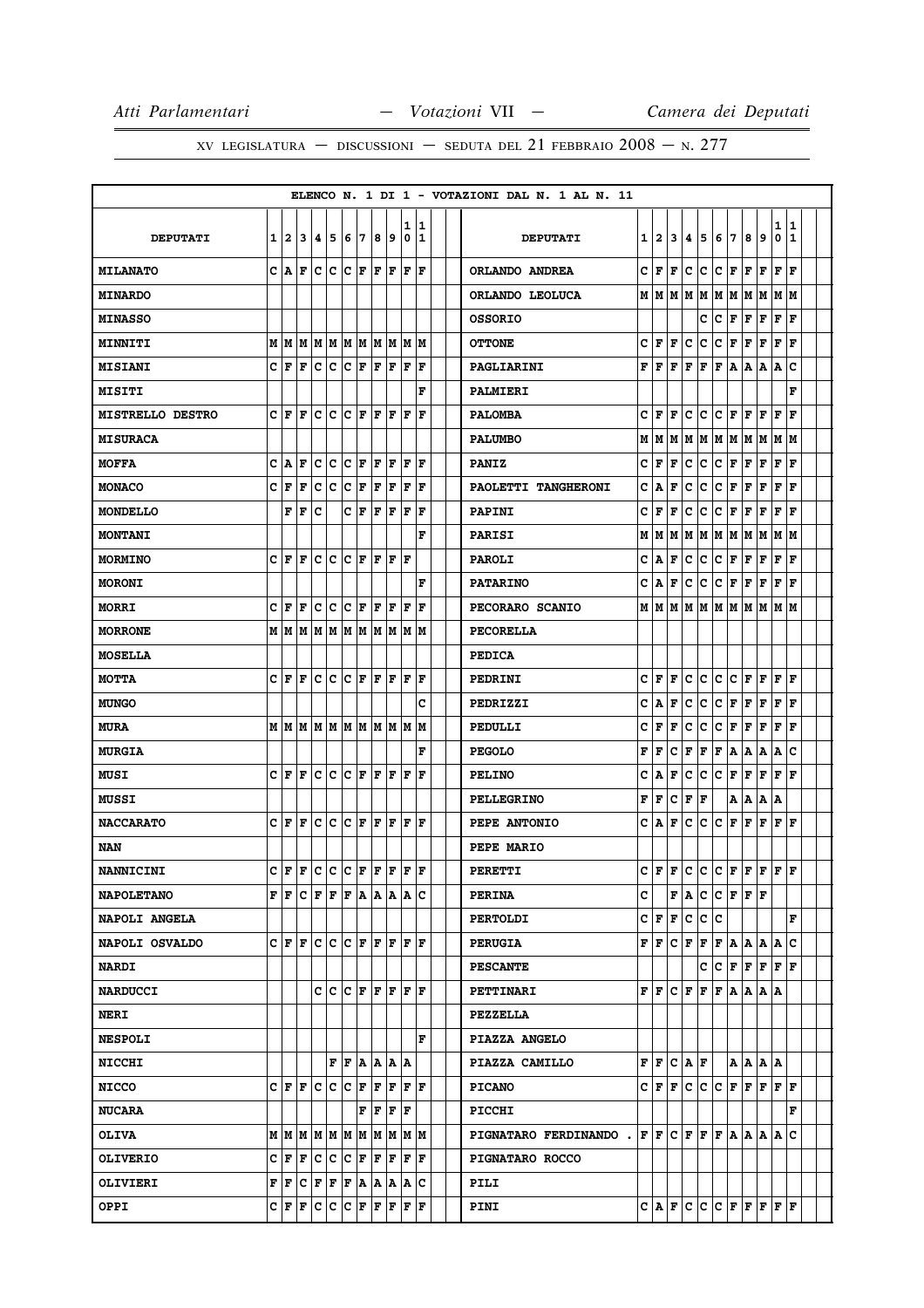|                         |   |                           |                                                                                                                                   |              |             |                                         |              |                      |                                      |        |                                                           |  | ELENCO N. 1 DI 1 - VOTAZIONI DAL N. 1 AL N. 11 |   |                             |              |       |     |             |                        |             |               |        |                   |  |
|-------------------------|---|---------------------------|-----------------------------------------------------------------------------------------------------------------------------------|--------------|-------------|-----------------------------------------|--------------|----------------------|--------------------------------------|--------|-----------------------------------------------------------|--|------------------------------------------------|---|-----------------------------|--------------|-------|-----|-------------|------------------------|-------------|---------------|--------|-------------------|--|
| <b>DEPUTATI</b>         | 1 | 12                        | 3                                                                                                                                 | 4            | 5           | 6                                       | 7            | 8                    | 9                                    | 1<br>0 | 1<br>1                                                    |  | <b>DEPUTATI</b>                                | 1 | 2                           | 3            | 4     | 5   | 6           | 7                      | 8           | 9             | 1<br>0 | 1<br>$\mathbf{1}$ |  |
| <b>MILANATO</b>         |   | C A                       | F                                                                                                                                 | c            | c           | $ C $ $\mathbf{F}$                      |              | $ {\bf F}  {\bf F} $ |                                      | ΙF     | F                                                         |  | ORLANDO ANDREA                                 | c | F                           | F            | c     | c   | c           | F                      | F           | F             | F      | F                 |  |
| <b>MINARDO</b>          |   |                           |                                                                                                                                   |              |             |                                         |              |                      |                                      |        |                                                           |  | ORLANDO LEOLUCA                                | М | M                           | M            | M     | M   | М           | lм                     | M           | M             | M      | M                 |  |
| <b>MINASSO</b>          |   |                           |                                                                                                                                   |              |             |                                         |              |                      |                                      |        |                                                           |  | <b>OSSORIO</b>                                 |   |                             |              |       | c   | c           | F                      | F           | F             | F      | F                 |  |
| MINNITI                 |   |                           | $M$   $M$   $M$   $M$   $M$   $M$   $M$   $M$   $M$   $M$                                                                         |              |             |                                         |              |                      |                                      |        |                                                           |  | <b>OTTONE</b>                                  | c | F                           | F            | c     | c   | c           | F                      | г           | F             | F      | $\mathbf F$       |  |
| <b>MISIANI</b>          | C | F                         | F                                                                                                                                 | с            | $\mathbf C$ | c                                       | F            | F                    | F                                    | F      | F                                                         |  | PAGLIARINI                                     | F | F                           | F            | F     | F   | F           | A                      | Α           | Α             | Α      | c                 |  |
| <b>MISITI</b>           |   |                           |                                                                                                                                   |              |             |                                         |              |                      |                                      |        | F                                                         |  | <b>PALMIERI</b>                                |   |                             |              |       |     |             |                        |             |               |        | F                 |  |
| <b>MISTRELLO DESTRO</b> | c | F                         | F                                                                                                                                 | c            | c           | с                                       | F            | F                    | F                                    | F      | F                                                         |  | <b>PALOMBA</b>                                 | c | F                           | F            | c     | c   | с           | F                      | F           | F             | F      | F                 |  |
| <b>MISURACA</b>         |   |                           |                                                                                                                                   |              |             |                                         |              |                      |                                      |        |                                                           |  | <b>PALUMBO</b>                                 | М | M                           | M            | M     | M   |             | M  M  M                |             | M  M  M       |        |                   |  |
| <b>MOFFA</b>            | c | ١A                        | F                                                                                                                                 | c            | c           | c                                       | ١F           | F                    | lF                                   | F      | F                                                         |  | <b>PANIZ</b>                                   | c | F                           | F            | c     | C   | c           | F                      | F           | F             | F      | F                 |  |
| <b>MONACO</b>           | c | F                         | F                                                                                                                                 | c            | c           | c                                       | F            | F                    | F                                    | F      | F                                                         |  | PAOLETTI TANGHERONI                            | c | A                           | F            | c     | c   | с           | F                      | F           | F             | F      | F                 |  |
| <b>MONDELLO</b>         |   | F                         | F                                                                                                                                 | c            |             |                                         | CF           | F                    | F                                    | F      | F                                                         |  | PAPINI                                         | c | F                           | F            | с     | c   | c           | F                      | F           | F             | F      | $\mathbf F$       |  |
| <b>MONTANI</b>          |   |                           |                                                                                                                                   |              |             |                                         |              |                      |                                      |        | F                                                         |  | <b>PARISI</b>                                  | М | М                           | М            | м     | M   | М           | M                      | М           | M             | M      | M                 |  |
| <b>MORMINO</b>          |   | CF                        | F                                                                                                                                 |              | c c         | $ {\bf C}  {\bf F} $                    |              |                      | F  F  F                              |        |                                                           |  | <b>PAROLI</b>                                  | c | Α                           | F            | с     | c   | c           | F                      | $\mathbf F$ | F             | F      | F                 |  |
| <b>MORONI</b>           |   |                           |                                                                                                                                   |              |             |                                         |              |                      |                                      |        | F                                                         |  | <b>PATARINO</b>                                | c | Α                           | F            | с     | с   | с           | F                      | F           | F             | F      | F                 |  |
| <b>MORRI</b>            | c | F                         | F                                                                                                                                 | c            | $\mathbf C$ | C F                                     |              | $ {\bf F}  {\bf F} $ |                                      | F      | F                                                         |  | PECORARO SCANIO                                |   | M   M                       | Μ            | M     | M   | M           | lм                     | M           | M             | M      | lМ                |  |
| <b>MORRONE</b>          | М | M                         | M                                                                                                                                 |              |             |                                         |              |                      |                                      |        | M  M  M  M  M  M  M  M                                    |  | <b>PECORELLA</b>                               |   |                             |              |       |     |             |                        |             |               |        |                   |  |
| <b>MOSELLA</b>          |   |                           |                                                                                                                                   |              |             |                                         |              |                      |                                      |        |                                                           |  | <b>PEDICA</b>                                  |   |                             |              |       |     |             |                        |             |               |        |                   |  |
| <b>MOTTA</b>            | c | ١F                        | F                                                                                                                                 |              | c c         | $ {\bf C}  {\bf F}  {\bf F}  {\bf F}$   |              |                      |                                      | ΙF     | F                                                         |  | PEDRINI                                        | c | F                           | F            | c     | c   | с           | lc.                    | F           | F             | F      | F                 |  |
| <b>MUNGO</b>            |   |                           |                                                                                                                                   |              |             |                                         |              |                      |                                      |        | c                                                         |  | PEDRIZZI                                       | c | А                           | F            | c     | c   | с           | F                      | F           | F             | F      | F                 |  |
| <b>MURA</b>             |   |                           | $M$   $M$   $M$   $M$   $M$   $M$   $M$   $M$   $M$   $M$                                                                         |              |             |                                         |              |                      |                                      |        |                                                           |  | PEDULLI                                        | c | F                           | F            | с     | с   | с           | F                      | F           | F             | F      | F                 |  |
| <b>MURGIA</b>           |   |                           |                                                                                                                                   |              |             |                                         |              |                      |                                      |        | F                                                         |  | <b>PEGOLO</b>                                  | F | F                           | c            | F     | F   | F           | A                      | Α           | Α             | Α      | c                 |  |
| MUSI                    | c | F                         | F                                                                                                                                 | c            | c           | C F                                     |              | $ {\bf F}  {\bf F} $ |                                      | ΙF     | l F                                                       |  | <b>PELINO</b>                                  | c | A                           | F            | c     | c   | c           | F                      | F           | F             | F      | F                 |  |
| <b>MUSSI</b>            |   |                           |                                                                                                                                   |              |             |                                         |              |                      |                                      |        |                                                           |  | <b>PELLEGRINO</b>                              | F | F                           | C            | F     | F   |             | Α                      | Α           | Α             | A      |                   |  |
| <b>NACCARATO</b>        |   | CF                        | F                                                                                                                                 | c            | c           |                                         | $C$ $ F F F$ |                      |                                      | F      | F                                                         |  | PEPE ANTONIO                                   | c | Α                           | F            | c     | с   | с           | F                      | F           | F             | F      | F                 |  |
| NAN                     |   |                           |                                                                                                                                   |              |             |                                         |              |                      |                                      |        |                                                           |  | PEPE MARIO                                     |   |                             |              |       |     |             |                        |             |               |        |                   |  |
| NANNICINI               | c | lF.                       | F C C C F F F                                                                                                                     |              |             |                                         |              |                      |                                      | ١F     | ١F                                                        |  | PERETTI                                        | c | F                           | $\mathbf{F}$ | c     | lc. | $\mathbf c$ | F                      | F           | F             | F      | F                 |  |
| <b>NAPOLETANO</b>       |   | $\mathbf{F}$ $\mathbf{F}$ |                                                                                                                                   |              |             |                                         |              |                      |                                      |        | C F F F A A A A C                                         |  | <b>PERINA</b>                                  | c |                             | F            | A     | c   |             | C F F F                |             |               |        |                   |  |
| NAPOLI ANGELA           |   |                           |                                                                                                                                   |              |             |                                         |              |                      |                                      |        |                                                           |  | <b>PERTOLDI</b>                                |   | C∣F                         | F            | c     | c.  | c           |                        |             |               |        | F                 |  |
| NAPOLI OSVALDO          |   | C F F                     |                                                                                                                                   |              | c c         |                                         |              |                      |                                      |        | C F F F F F                                               |  | <b>PERUGIA</b>                                 | F | F                           | c            | F     | F   | F           | A                      | A           | A             | A      | $\mathbf{C}$      |  |
| <b>NARDI</b>            |   |                           |                                                                                                                                   |              |             |                                         |              |                      |                                      |        |                                                           |  | <b>PESCANTE</b>                                |   |                             |              |       | c   | C F         |                        |             | F F F F       |        |                   |  |
| <b>NARDUCCI</b>         |   |                           |                                                                                                                                   |              |             |                                         |              |                      |                                      |        | C C C F F F F F                                           |  | <b>PETTINARI</b>                               |   | FF                          |              | CF    | F   | F           | A                      |             | A A A         |        |                   |  |
| <b>NERI</b>             |   |                           |                                                                                                                                   |              |             |                                         |              |                      |                                      |        |                                                           |  | PEZZELLA                                       |   |                             |              |       |     |             |                        |             |               |        |                   |  |
| <b>NESPOLI</b>          |   |                           |                                                                                                                                   |              |             |                                         |              |                      |                                      |        | F                                                         |  | PIAZZA ANGELO                                  |   |                             |              |       |     |             |                        |             |               |        |                   |  |
| <b>NICCHI</b>           |   |                           |                                                                                                                                   |              |             | F F A A A A                             |              |                      |                                      |        |                                                           |  | PIAZZA CAMILLO                                 |   | ${\bf F} \parallel {\bf F}$ |              | C A F |     |             |                        |             | A   A   A   A |        |                   |  |
| <b>NICCO</b>            |   |                           | C F F C                                                                                                                           |              |             | C C F                                   |              | F                    | F                                    |        | F F                                                       |  | <b>PICANO</b>                                  |   | C F                         | F            | lc.   | c   | $\mathbf c$ | F                      | F           | F             | lF.    | $\mathbf F$       |  |
| <b>NUCARA</b>           |   |                           |                                                                                                                                   |              |             |                                         |              |                      | ${\bf F}$ $\bf{F}$ $\bf{F}$ $\bf{F}$ |        |                                                           |  | PICCHI                                         |   |                             |              |       |     |             |                        |             |               |        | F                 |  |
| <b>OLIVA</b>            |   |                           | $M$   $M$   $M$   $M$   $M$   $M$   $M$   $M$   $M$   $M$                                                                         |              |             |                                         |              |                      |                                      |        |                                                           |  | PIGNATARO FERDINANDO . $ F F C F F F A A A A $ |   |                             |              |       |     |             |                        |             |               |        | c                 |  |
| <b>OLIVERIO</b>         |   | C F                       | F                                                                                                                                 | $\mathbf{C}$ |             | $ {\tt C}\, {\tt C}\, $ F $ {\tt F}\, $ |              |                      | F                                    |        | F F                                                       |  | <b>PIGNATARO ROCCO</b>                         |   |                             |              |       |     |             |                        |             |               |        |                   |  |
| OLIVIERI                |   |                           | $\mathbf{F}   \mathbf{F}   \mathbf{C}   \mathbf{F}   \mathbf{F}   \mathbf{F}   \mathbf{A}   \mathbf{A}   \mathbf{A}   \mathbf{C}$ |              |             |                                         |              |                      |                                      |        |                                                           |  | PILI                                           |   |                             |              |       |     |             |                        |             |               |        |                   |  |
| OPPI                    |   |                           | $C$ $F$ $F$ $C$                                                                                                                   |              |             |                                         |              |                      |                                      |        | $ {\tt C}\, {\tt C}\, $ f $ {\tt F}\, $ f $ {\tt F}\, $ f |  | PINI                                           |   | C A F                       |              |       |     |             | C  C  C  F  F  F  F  F |             |               |        |                   |  |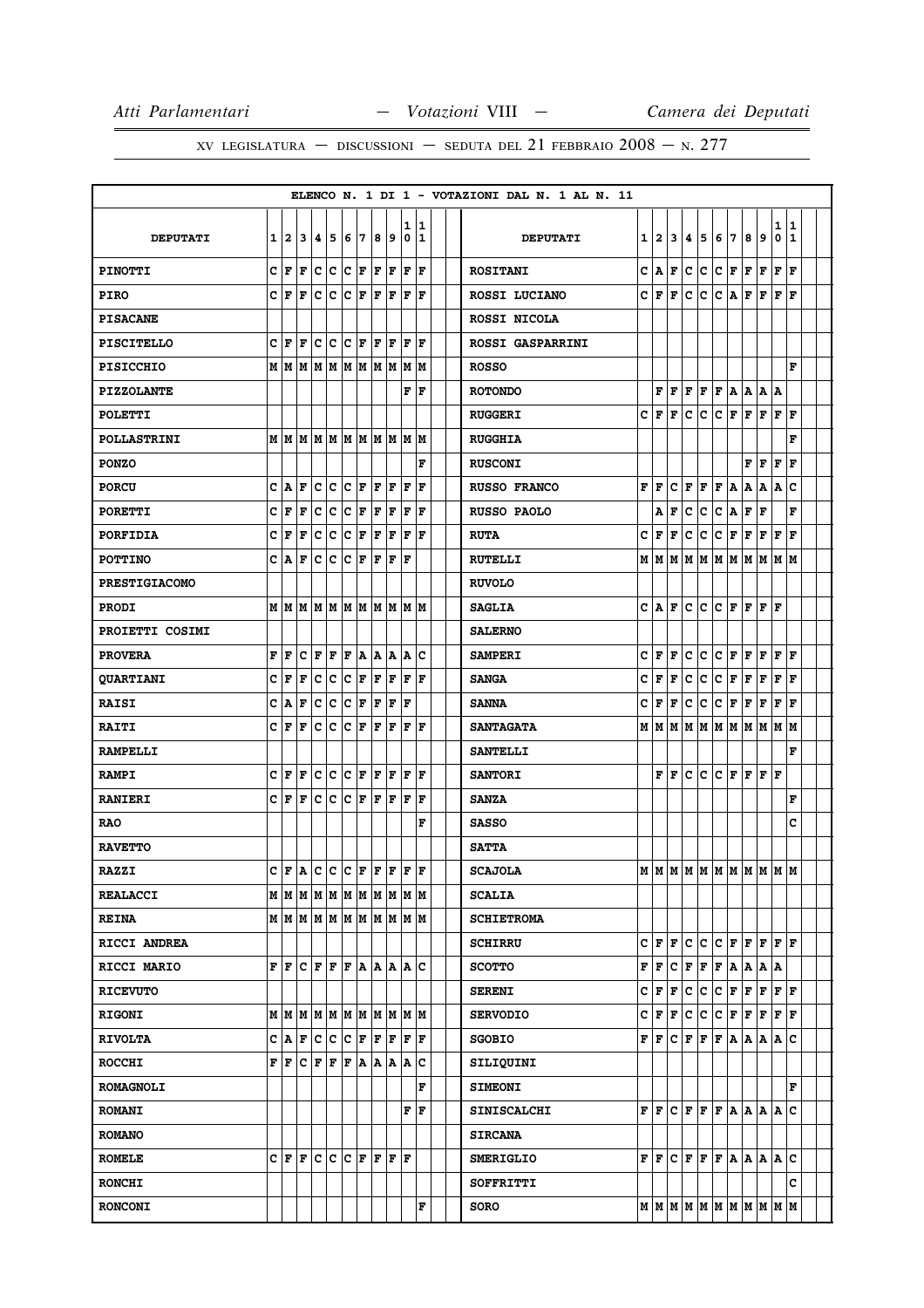|                      |         |                             |     |                                                                                                                      |    |                        |    |     |     |              |              |  | ELENCO N. 1 DI 1 - VOTAZIONI DAL N. 1 AL N. 11 |   |                |     |                     |             |              |                               |             |                       |                             |              |  |
|----------------------|---------|-----------------------------|-----|----------------------------------------------------------------------------------------------------------------------|----|------------------------|----|-----|-----|--------------|--------------|--|------------------------------------------------|---|----------------|-----|---------------------|-------------|--------------|-------------------------------|-------------|-----------------------|-----------------------------|--------------|--|
|                      |         |                             |     |                                                                                                                      |    |                        |    |     |     | 1            | 11           |  |                                                |   |                |     |                     |             |              |                               |             |                       | 1                           | $\mathbf{1}$ |  |
| <b>DEPUTATI</b>      |         | 1 2                         | 13  | 4 5                                                                                                                  |    | 16                     | 17 | 8   | 9   | $\mathbf 0$  | $\mathbf{1}$ |  | <b>DEPUTATI</b>                                | 1 | $\overline{a}$ | 3   | 4                   | 5           | 6            | 7                             | 8           | 9                     | 0                           | $\mathbf{1}$ |  |
| <b>PINOTTI</b>       |         | C F                         | F   | c c                                                                                                                  |    | $ {\bf C}\> {\bf F}\>$ |    | F F |     | F            | F            |  | <b>ROSITANI</b>                                | c | A              | F   | c                   | c           | $\mathbf{C}$ | F F                           |             | F                     | F                           | l F          |  |
| <b>PIRO</b>          | C F     |                             | F   | c c                                                                                                                  |    | c                      | F  | F   | F   | F            | ١F           |  | ROSSI LUCIANO                                  | c | F              | F   | c                   | c           | c            | A                             | F           | F                     | F                           | F            |  |
| <b>PISACANE</b>      |         |                             |     |                                                                                                                      |    |                        |    |     |     |              |              |  | ROSSI NICOLA                                   |   |                |     |                     |             |              |                               |             |                       |                             |              |  |
| <b>PISCITELLO</b>    | C F     |                             | F   | $ c c c _F$                                                                                                          |    |                        |    | F F |     | lF.          | F            |  | <b>ROSSI GASPARRINI</b>                        |   |                |     |                     |             |              |                               |             |                       |                             |              |  |
| <b>PISICCHIO</b>     |         | мM                          | M M |                                                                                                                      | M  | M                      | M  | M   | M   | M            | M            |  | <b>ROSSO</b>                                   |   |                |     |                     |             |              |                               |             |                       |                             | F            |  |
| <b>PIZZOLANTE</b>    |         |                             |     |                                                                                                                      |    |                        |    |     |     | F            | ١F           |  | <b>ROTONDO</b>                                 |   | F              | lF. | F                   | F           |              |                               |             | F A A A               | Α                           |              |  |
| <b>POLETTI</b>       |         |                             |     |                                                                                                                      |    |                        |    |     |     |              |              |  | <b>RUGGERI</b>                                 | C | F              | F   | c                   | c           | c            | F                             |             | F F F F               |                             |              |  |
| POLLASTRINI          |         |                             |     | MMMMMMMMMM                                                                                                           |    |                        |    |     |     |              | M M          |  | <b>RUGGHIA</b>                                 |   |                |     |                     |             |              |                               |             |                       |                             | F            |  |
| <b>PONZO</b>         |         |                             |     |                                                                                                                      |    |                        |    |     |     |              | F            |  | <b>RUSCONI</b>                                 |   |                |     |                     |             |              |                               | F           | F                     | F                           | F            |  |
| <b>PORCU</b>         | c       | A                           | F   | c                                                                                                                    | c  | c                      | F  | F   | F   | F            | F            |  | <b>RUSSO FRANCO</b>                            | F | F              | c   | F                   | F           | F            | А                             | А           | Α                     | Α                           | C            |  |
| <b>PORETTI</b>       | c       | F                           | F   | c c                                                                                                                  |    | $ {\boldsymbol{c}} $ F |    | F   | F   | F            | F            |  | RUSSO PAOLO                                    |   | Α              | F   | с                   | c           | C   A        |                               | F           | F                     |                             | F            |  |
| PORFIDIA             | c       | F                           | F   | с                                                                                                                    | c  | c                      | F  | F   | F   | F            | F            |  | <b>RUTA</b>                                    | c | F              | F   | c                   | с           | с            | F                             | F           | F                     | F                           | F            |  |
| <b>POTTINO</b>       |         | C A F                       |     | c c                                                                                                                  |    | lc.                    | F  | F   | F   | lF           |              |  | <b>RUTELLI</b>                                 |   | MM             |     | MM                  |             | MM           | M M                           |             | M                     | MM                          |              |  |
| <b>PRESTIGIACOMO</b> |         |                             |     |                                                                                                                      |    |                        |    |     |     |              |              |  | <b>RUVOLO</b>                                  |   |                |     |                     |             |              |                               |             |                       |                             |              |  |
| <b>PRODI</b>         |         | MMM                         |     | M M                                                                                                                  |    | M M                    |    |     | M M |              | M M          |  | <b>SAGLIA</b>                                  | c | lA.            | F   | c                   | c           | c            | F                             | F           | F                     | F                           |              |  |
| PROIETTI COSIMI      |         |                             |     |                                                                                                                      |    |                        |    |     |     |              |              |  | <b>SALERNO</b>                                 |   |                |     |                     |             |              |                               |             |                       |                             |              |  |
| <b>PROVERA</b>       | F       | F                           | c   | F                                                                                                                    | F  | F                      | ١A | A   | A   | A            | c            |  | <b>SAMPERI</b>                                 | c | F              | F   | c                   | c           | c            | F                             | F           | F                     | F                           | F            |  |
| <b>QUARTIANI</b>     | c       | F                           | F   | c c                                                                                                                  |    | c                      | F  | F   | F   | $\mathbf{F}$ | ١F           |  | <b>SANGA</b>                                   | c | F              | F   | c                   | c           | c            | F                             | F           | F                     | F F                         |              |  |
| <b>RAISI</b>         | c       | ١A                          | F   | c                                                                                                                    | c  | с                      | F  | F   | F   | $\mathbf F$  |              |  | <b>SANNA</b>                                   | с | F              | F   | с                   | с           | c            | F                             | $\mathbf F$ | F                     | F                           | F            |  |
| <b>RAITI</b>         | c       | F                           | l F | c                                                                                                                    | ∣c | c.                     | F  | F   | F   | l F          | F            |  | <b>SANTAGATA</b>                               | М | lм             | M   | M                   |             | МM           |                               |             | M  M  M  M  M         |                             |              |  |
| <b>RAMPELLI</b>      |         |                             |     |                                                                                                                      |    |                        |    |     |     |              |              |  | <b>SANTELLI</b>                                |   |                |     |                     |             |              |                               |             |                       |                             | F            |  |
| <b>RAMPI</b>         | $ c _F$ |                             | F   | c c                                                                                                                  |    | C F                    |    | F   | F   | F            | F            |  | <b>SANTORI</b>                                 |   | F              | F   | c                   | c           | c            | F                             | F           | F                     | F                           |              |  |
| <b>RANIERI</b>       |         | C F                         | F   | c c                                                                                                                  |    | $ {\bf C} $ F          |    | F   | F   | F            | ١F           |  | <b>SANZA</b>                                   |   |                |     |                     |             |              |                               |             |                       |                             | F            |  |
| <b>RAO</b>           |         |                             |     |                                                                                                                      |    |                        |    |     |     |              | F            |  | <b>SASSO</b>                                   |   |                |     |                     |             |              |                               |             |                       |                             | c            |  |
| <b>RAVETTO</b>       |         |                             |     |                                                                                                                      |    |                        |    |     |     |              |              |  | <b>SATTA</b>                                   |   |                |     |                     |             |              |                               |             |                       |                             |              |  |
| <b>RAZZI</b>         |         |                             |     | $C F A C C C F F F F F F$                                                                                            |    |                        |    |     |     |              |              |  | <b>SCAJOLA</b>                                 |   |                |     |                     |             |              |                               |             | MMMMMMMMMMMM          |                             |              |  |
| <b>REALACCI</b>      |         |                             |     | $M$   $M$   $M$   $M$   $M$   $M$   $M$   $M$   $M$   $M$                                                            |    |                        |    |     |     |              |              |  | <b>SCALIA</b>                                  |   |                |     |                     |             |              |                               |             |                       |                             |              |  |
| <b>REINA</b>         |         |                             |     | м м м м м м м м м м м                                                                                                |    |                        |    |     |     |              |              |  | <b>SCHIETROMA</b>                              |   |                |     |                     |             |              |                               |             |                       |                             |              |  |
| RICCI ANDREA         |         |                             |     |                                                                                                                      |    |                        |    |     |     |              |              |  | <b>SCHIRRU</b>                                 |   | CF             | F   | c                   | c           | $\mathbf{C}$ | $\bf F$ $\mid$                | F           | $\mathbf{F}$          | FF                          |              |  |
| RICCI MARIO          |         |                             |     | F F C F F F A A A A C                                                                                                |    |                        |    |     |     |              |              |  | <b>SCOTTO</b>                                  | F | F              |     | $ {\bf C}\, $ F $ $ | $ {\bf F} $ | F A          |                               |             | A A A                 |                             |              |  |
| <b>RICEVUTO</b>      |         |                             |     |                                                                                                                      |    |                        |    |     |     |              |              |  | <b>SERENI</b>                                  |   | C∣F            | F   | c                   | c           |              |                               |             | C F F F F F           |                             |              |  |
| <b>RIGONI</b>        |         |                             |     | $M$   $M$   $M$   $M$   $M$   $M$   $M$   $M$   $M$   $M$   $M$                                                      |    |                        |    |     |     |              |              |  | <b>SERVODIO</b>                                |   | C F F          |     | c                   | c           |              | $C$ $\mathbf{F}$ $\mathbf{F}$ |             | F                     | ${\bf F} \parallel {\bf F}$ |              |  |
| <b>RIVOLTA</b>       |         | C A F                       |     | lc.                                                                                                                  | ∣c | lc.                    | F  | F   | F   | F            | F            |  | <b>SGOBIO</b>                                  |   | F F.           | lc. | F                   | F           |              |                               |             | F A A A A             |                             | c            |  |
| <b>ROCCHI</b>        |         |                             |     | $\mathbf{F}   \mathbf{F}   \mathbf{C}   \mathbf{F}   \mathbf{F}   \mathbf{F}   \mathbf{A}   \mathbf{A}   \mathbf{A}$ |    |                        |    |     |     |              | c            |  | SILIQUINI                                      |   |                |     |                     |             |              |                               |             |                       |                             |              |  |
| <b>ROMAGNOLI</b>     |         |                             |     |                                                                                                                      |    |                        |    |     |     |              | F            |  | <b>SIMEONI</b>                                 |   |                |     |                     |             |              |                               |             |                       |                             | F            |  |
| <b>ROMANI</b>        |         |                             |     |                                                                                                                      |    |                        |    |     |     |              | F  F         |  | <b>SINISCALCHI</b>                             |   | FF             |     |                     |             |              |                               |             | C F F F A A A A       |                             | c            |  |
| <b>ROMANO</b>        |         |                             |     |                                                                                                                      |    |                        |    |     |     |              |              |  | <b>SIRCANA</b>                                 |   |                |     |                     |             |              |                               |             |                       |                             |              |  |
| <b>ROMELE</b>        |         | $C \mathbf{F}$ $\mathbf{F}$ |     | c c                                                                                                                  |    | C F                    |    | F   | F   | ١F           |              |  | <b>SMERIGLIO</b>                               |   | FF             |     | CF                  |             |              |                               |             | F F A A A A           |                             | c            |  |
| <b>RONCHI</b>        |         |                             |     |                                                                                                                      |    |                        |    |     |     |              |              |  | SOFFRITTI                                      |   |                |     |                     |             |              |                               |             |                       |                             | c            |  |
| <b>RONCONI</b>       |         |                             |     |                                                                                                                      |    |                        |    |     |     |              | F            |  | <b>SORO</b>                                    |   |                |     |                     |             |              |                               |             | м м м м м м м м м м м |                             |              |  |